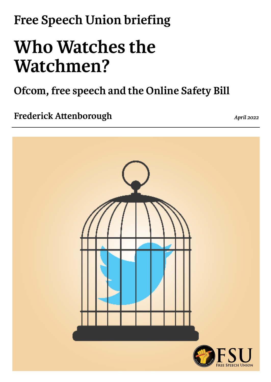## **Free Speech Union briefing**

# **Who Watches the Watchmen?**

**Ofcom, free speech and the Online Safety Bill**

**Frederick Attenborough** *April 2022* 

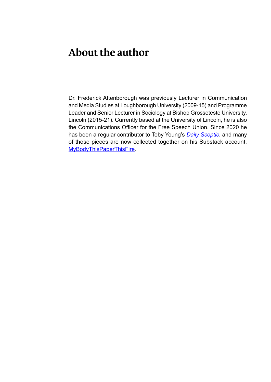#### **About the author**

Dr. Frederick Attenborough was previously Lecturer in Communication and Media Studies at Loughborough University (2009-15) and Programme Leader and Senior Lecturer in Sociology at Bishop Grosseteste University, Lincoln (2015-21). Currently based at the University of Lincoln, he is also the Communications Officer for the Free Speech Union. Since 2020 he has been a regular contributor to Toby Young's *[Daily Sceptic](http://www.dailysceptic.org/)*, and many of those pieces are now collected together on his Substack account, [MyBodyThisPaperThisFire.](https://mybodythispaperthisfire.substack.com/)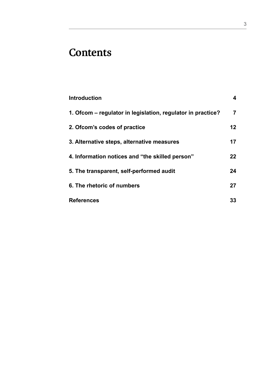### **Contents**

| Introduction                                                | 4  |
|-------------------------------------------------------------|----|
| 1. Ofcom – regulator in legislation, regulator in practice? | 7  |
| 2. Ofcom's codes of practice                                | 12 |
| 3. Alternative steps, alternative measures                  | 17 |
| 4. Information notices and "the skilled person"             | 22 |
| 5. The transparent, self-performed audit                    | 24 |
| 6. The rhetoric of numbers                                  | 27 |
| <b>References</b>                                           | 33 |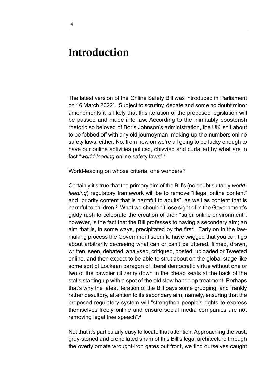#### **Introduction**

The latest version of the Online Safety Bill was introduced in Parliament on 16 March 2022<sup>1</sup>. Subject to scrutiny, debate and some no doubt minor amendments it is likely that this iteration of the proposed legislation will be passed and made into law. According to the inimitably boosterish rhetoric so beloved of Boris Johnson's administration, the UK isn't about to be fobbed off with any old journeyman, making-up-the-numbers online safety laws, either. No, from now on we're all going to be lucky enough to have our online activities policed, chivvied and curtailed by what are in fact "*world-leading* online safety laws".2

World-leading on whose criteria, one wonders?

Certainly it's true that the primary aim of the Bill's (no doubt suitably *worldleading*) regulatory framework will be to remove "illegal online content" and "priority content that is harmful to adults", as well as content that is harmful to children.<sup>3</sup> What we shouldn't lose sight of in the Government's giddy rush to celebrate the creation of their "safer online environment", however, is the fact that the Bill professes to having a secondary aim; an aim that is, in some ways, precipitated by the first. Early on in the lawmaking process the Government seem to have twigged that you can't go about arbitrarily decreeing what can or can't be uttered, filmed, drawn, written, seen, debated, analysed, critiqued, posted, uploaded or Tweeted online, and then expect to be able to strut about on the global stage like some sort of Lockean paragon of liberal democratic virtue without one or two of the bawdier citizenry down in the cheap seats at the back of the stalls starting up with a spot of the old slow handclap treatment. Perhaps that's why the latest iteration of the Bill pays some grudging, and frankly rather desultory, attention to its secondary aim, namely, ensuring that the proposed regulatory system will "strengthen people's rights to express themselves freely online and ensure social media companies are not removing legal free speech".4

Not that it's particularly easy to locate that attention. Approaching the vast, grey-stoned and crenellated sham of this Bill's legal architecture through the overly ornate wrought-iron gates out front, we find ourselves caught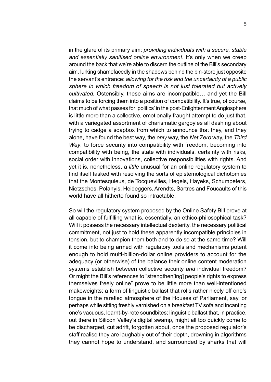in the glare of its primary aim: *providing individuals with a secure, stable and essentially sanitised online environment*. It's only when we creep around the back that we're able to discern the outline of the Bill's secondary aim, lurking shamefacedly in the shadows behind the bin-store just opposite the servant's entrance: *allowing for the risk and the uncertainty of a public sphere in which freedom of speech is not just tolerated but actively cultivated.* Ostensibly, these aims are incompatible… and yet the Bill claims to be forcing them into a position of compatibility. It's true, of course, that much of what passes for 'politics' in the post-Enlightenment Anglosphere is little more than a collective, emotionally fraught attempt to do just that, with a variegated assortment of charismatic gargoyles all dashing about trying to cadge a soapbox from which to announce that they, and they alone, have found the best way, the *only* way, the *Net Zero* way, the *Third Way*, to force security into compatibility with freedom, becoming into compatibility with being, the state with individuals, certainty with risks, social order with innovations, collective responsibilities with rights. And yet it is, nonetheless, a *little* unusual for an online regulatory system to find itself tasked with resolving the sorts of epistemological dichotomies that the Montesquieus, de Tocquevilles, Hegels, Hayeks, Schumpeters, Nietzsches, Polanyis, Heideggers, Arendts, Sartres and Foucaults of this world have all hitherto found so intractable.

So will the regulatory system proposed by the Online Safety Bill prove at all capable of fulfilling what is, essentially, an ethico-philosophical task? Will it possess the necessary intellectual dexterity, the necessary political commitment, not just to hold these apparently incompatible principles in tension, but to champion them both and to do so at the same time? Will it come into being armed with regulatory tools and mechanisms potent enough to hold multi-billion-dollar online providers to account for the adequacy (or otherwise) of the balance their online content moderation systems establish between collective security *and* individual freedom? Or might the Bill's references to "strengthen[ing] people's rights to express themselves freely online" prove to be little more than well-intentioned makeweights; a form of linguistic ballast that rolls rather nicely off one's tongue in the rarefied atmosphere of the Houses of Parliament, say, or perhaps while sitting freshly varnished on a breakfast TV sofa and incanting one's vacuous, learnt-by-rote soundbites; linguistic ballast that, in practice, out there in Silicon Valley's digital swamp, might all too quickly come to be discharged, cut adrift, forgotten about, once the proposed regulator's staff realise they are laughably out of their depth, drowning in algorithms they cannot hope to understand, and surrounded by sharks that will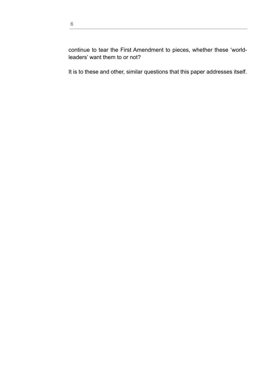continue to tear the First Amendment to pieces, whether these 'worldleaders' want them to or not?

It is to these and other, similar questions that this paper addresses itself.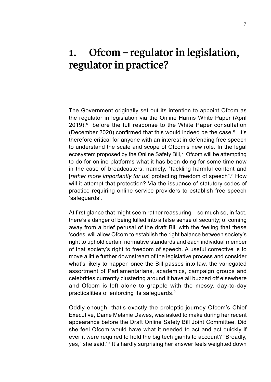#### **1. Ofcom – regulator in legislation, regulator in practice?**

The Government originally set out its intention to appoint Ofcom as the regulator in legislation via the Online Harms White Paper (April 2019),<sup>5</sup> before the full response to the White Paper consultation (December 2020) confirmed that this would indeed be the case. $6$  It's therefore critical for anyone with an interest in defending free speech to understand the scale and scope of Ofcom's new role. In the legal ecosystem proposed by the Online Safety Bill, $^\tau$  Ofcom will be attempting to do for online platforms what it has been doing for some time now in the case of broadcasters, namely, "tackling harmful content and [*rather more importantly for us*] protecting freedom of speech".<sup>8</sup> How will it attempt that protection? Via the issuance of statutory codes of practice requiring online service providers to establish free speech 'safeguards'.

At first glance that might seem rather reassuring – so much so, in fact, there's a danger of being lulled into a false sense of security; of coming away from a brief perusal of the draft Bill with the feeling that these 'codes' will allow Ofcom to establish the right balance between society's right to uphold certain normative standards and each individual member of that society's right to freedom of speech. A useful corrective is to move a little further downstream of the legislative process and consider what's likely to happen once the Bill passes into law, the variegated assortment of Parliamentarians, academics, campaign groups and celebrities currently clustering around it have all buzzed off elsewhere and Ofcom is left alone to grapple with the messy, day-to-day practicalities of enforcing its safeguards.9

Oddly enough, that's exactly the proleptic journey Ofcom's Chief Executive, Dame Melanie Dawes, was asked to make during her recent appearance before the Draft Online Safety Bill Joint Committee. Did she feel Ofcom would have what it needed to act and act quickly if ever it were required to hold the big tech giants to account? "Broadly, yes," she said.10 It's hardly surprising her answer feels weighted down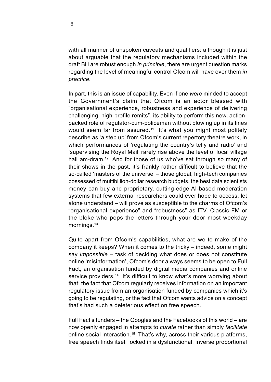with all manner of unspoken caveats and qualifiers: although it is just about arguable that the regulatory mechanisms included within the draft Bill are robust enough *in principle*, there are urgent question marks regarding the level of meaningful control Ofcom will have over them *in practice*.

In part, this is an issue of capability. Even if one *were* minded to accept the Government's claim that Ofcom is an actor blessed with "organisational experience, robustness and experience of delivering challenging, high-profile remits", its ability to perform this new, actionpacked role of regulator-cum-policeman without blowing up in its lines would seem far from assured.<sup>11</sup> It's what you might most politely describe as 'a step up' from Ofcom's current repertory theatre work, in which performances of 'regulating the country's telly and radio' and 'supervising the Royal Mail' rarely rise above the level of local village hall am-dram.<sup>12</sup> And for those of us who've sat through so many of their shows in the past, it's frankly rather difficult to believe that the so-called 'masters of the universe' – those global, high-tech companies possessed of multibillion-dollar research budgets, the best data scientists money can buy and proprietary, cutting-edge AI-based moderation systems that few external researchers could ever hope to access, let alone understand – will prove as susceptible to the charms of Ofcom's "organisational experience" and "robustness" as ITV, Classic FM or the bloke who pops the letters through your door most weekday mornings.<sup>13</sup>

Quite apart from Ofcom's capabilities, what are we to make of the company it keeps? When it comes to the tricky – indeed, some might say *impossible* – task of deciding what does or does not constitute online 'misinformation', Ofcom's door always seems to be open to Full Fact, an organisation funded by digital media companies and online service providers.<sup>14</sup> It's difficult to know what's more worrying about that: the fact that Ofcom regularly receives information on an important regulatory issue from an organisation funded by companies which it's going to be regulating, or the fact that Ofcom wants advice on a concept that's had such a deleterious effect on free speech.

Full Fact's funders – the Googles and the Facebooks of this world – are now openly engaged in attempts to *curate* rather than simply *facilitate* online social interaction.15 That's why, across their various platforms, free speech finds itself locked in a dysfunctional, inverse proportional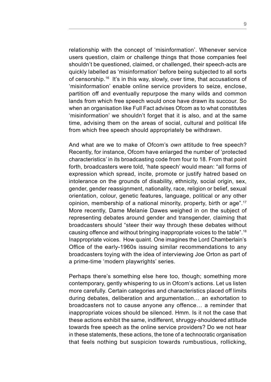relationship with the concept of 'misinformation'. Whenever service users question, claim or challenge things that those companies feel shouldn't be questioned, claimed, or challenged, their speech-acts are quickly labelled as 'misinformation' before being subjected to all sorts of censorship.16 It's in this way, slowly, over time, that accusations of 'misinformation' enable online service providers to seize, enclose, partition off and eventually repurpose the many wilds and common lands from which free speech would once have drawn its succour. So when an organisation like Full Fact advises Ofcom as to what constitutes 'misinformation' we shouldn't forget that it is also, and at the same time, advising them on the areas of social, cultural and political life from which free speech should appropriately be withdrawn.

And what are we to make of Ofcom's *own* attitude to free speech? Recently, for instance, Ofcom have enlarged the number of 'protected characteristics' in its broadcasting code from four to 18. From that point forth, broadcasters were told, 'hate speech' would mean: "all forms of expression which spread, incite, promote or justify hatred based on intolerance on the grounds of disability, ethnicity, social origin, sex, gender, gender reassignment, nationality, race, religion or belief, sexual orientation, colour, genetic features, language, political or any other opinion, membership of a national minority, property, birth or age".17 More recently, Dame Melanie Dawes weighed in on the subject of representing debates around gender and transgender, claiming that broadcasters should "steer their way through these debates without causing offence and without bringing inappropriate voices to the table".18 Inappropriate voices. How quaint. One imagines the Lord Chamberlain's Office of the early-1960s issuing similar recommendations to any broadcasters toying with the idea of interviewing Joe Orton as part of a prime-time 'modern playwrights' series.

Perhaps there's something else here too, though; something more contemporary, gently whispering to us in Ofcom's actions. Let us listen more carefully. Certain categories and characteristics placed off limits during debates, deliberation and argumentation… an exhortation to broadcasters not to cause anyone any offence… a reminder that inappropriate voices should be silenced. Hmm. Is it not the case that these actions exhibit the same, indifferent, shruggy-shouldered attitude towards free speech as the online service providers? Do we not hear in these statements, these actions, the tone of a technocratic organisation that feels nothing but suspicion towards rumbustious, rollicking,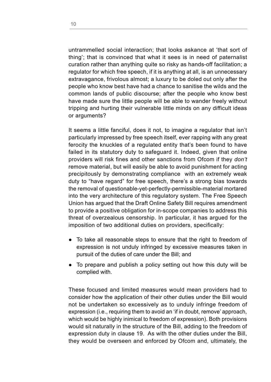untrammelled social interaction; that looks askance at 'that sort of thing'; that is convinced that what it sees is in need of paternalist curation rather than anything quite so risky as hands-off facilitation; a regulator for which free speech, if it is anything at all, is an unnecessary extravagance, frivolous almost; a luxury to be doled out only after the people who know best have had a chance to sanitise the wilds and the common lands of public discourse; after the people who know best have made sure the little people will be able to wander freely without tripping and hurting their vulnerable little minds on any difficult ideas or arguments?

It seems a little fanciful, does it not, to imagine a regulator that isn't particularly impressed by free speech itself, ever rapping with any great ferocity the knuckles of a regulated entity that's been found to have failed in its statutory duty to safeguard it. Indeed, given that online providers will risk fines and other sanctions from Ofcom if they *don't*  remove material, but will easily be able to avoid punishment for acting precipitously by demonstrating compliance with an extremely weak duty to "have regard" for free speech, there's a strong bias towards the removal of questionable-yet-perfectly-permissible-material mortared into the very architecture of this regulatory system. The Free Speech Union has argued that the Draft Online Safety Bill requires amendment to provide a positive obligation for in-scope companies to address this threat of overzealous censorship. In particular, it has argued for the imposition of two additional duties on providers, specifically:

- To take all reasonable steps to ensure that the right to freedom of expression is not unduly infringed by excessive measures taken in pursuit of the duties of care under the Bill; and
- To prepare and publish a policy setting out how this duty will be complied with.

These focused and limited measures would mean providers had to consider how the application of their other duties under the Bill would not be undertaken so excessively as to unduly infringe freedom of expression (i.e., requiring them to avoid an 'if in doubt, remove' approach, which would be highly inimical to freedom of expression). Both provisions would sit naturally in the structure of the Bill, adding to the freedom of expression duty in clause 19. As with the other duties under the Bill, they would be overseen and enforced by Ofcom and, ultimately, the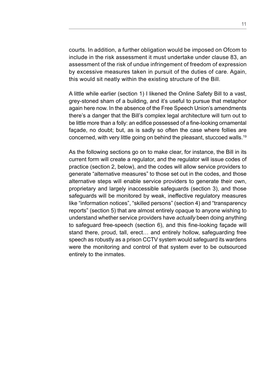courts. In addition, a further obligation would be imposed on Ofcom to include in the risk assessment it must undertake under clause 83, an assessment of the risk of undue infringement of freedom of expression by excessive measures taken in pursuit of the duties of care. Again, this would sit neatly within the existing structure of the Bill.

A little while earlier (section 1) I likened the Online Safety Bill to a vast, grey-stoned sham of a building, and it's useful to pursue that metaphor again here now. In the absence of the Free Speech Union's amendments there's a danger that the Bill's complex legal architecture will turn out to be little more than a folly: an edifice possessed of a fine-looking ornamental façade, no doubt; but, as is sadly so often the case where follies are concerned, with very little going on behind the pleasant, stuccoed walls.19

As the following sections go on to make clear, for instance, the Bill in its current form will create a regulator, and the regulator will issue codes of practice (section 2, below), and the codes will allow service providers to generate "alternative measures" to those set out in the codes, and those alternative steps will enable service providers to generate their own, proprietary and largely inaccessible safeguards (section 3), and those safeguards will be monitored by weak, ineffective regulatory measures like "information notices", "skilled persons" (section 4) and "transparency reports" (section 5) that are almost entirely opaque to anyone wishing to understand whether service providers have *actually* been doing anything to safeguard free-speech (section 6), and this fine-looking façade will stand there, proud, tall, erect… and entirely hollow, safeguarding free speech as robustly as a prison CCTV system would safeguard its wardens were the monitoring and control of that system ever to be outsourced entirely to the inmates.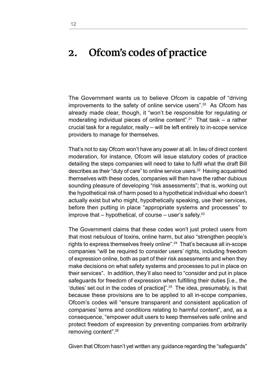#### **2. Ofcom's codes of practice**

The Government wants us to believe Ofcom is capable of "driving improvements to the safety of online service users".<sup>20</sup> As Ofcom has already made clear, though, it "won't be responsible for regulating or moderating individual pieces of online content".<sup>21</sup> That task – a rather crucial task for a regulator, really – will be left entirely to in-scope service providers to manage for themselves.

That's not to say Ofcom won't have any power at all. In lieu of direct content moderation, for instance, Ofcom will issue statutory codes of practice detailing the steps companies will need to take to fulfil what the draft Bill describes as their "duty of care" to online service users.22 Having acquainted themselves with these codes, companies will then have the rather dubious sounding pleasure of developing "risk assessments"; that is, working out the hypothetical risk of harm posed to a hypothetical individual who doesn't actually exist but who might, hypothetically speaking, use their services, before then putting in place "appropriate systems and processes" to improve that  $-$  hypothetical, of course  $-$  user's safety.<sup>23</sup>

The Government claims that these codes won't just protect users from that most nebulous of toxins, online harm, but also "strengthen people's rights to express themselves freely online".24 That's because all in-scope companies "will be required to consider users' rights, including freedom of expression online, both as part of their risk assessments and when they make decisions on what safety systems and processes to put in place on their services". In addition, they'll also need to "consider and put in place safeguards for freedom of expression when fulfilling their duties [i.e., the 'duties' set out in the codes of practice]".<sup>25</sup> The idea, presumably, is that because these provisions are to be applied to all in-scope companies, Ofcom's codes will "ensure transparent and consistent application of companies' terms and conditions relating to harmful content", and, as a consequence, "empower adult users to keep themselves safe online and protect freedom of expression by preventing companies from arbitrarily removing content".26

Given that Ofcom hasn't yet written any guidance regarding the "safeguards"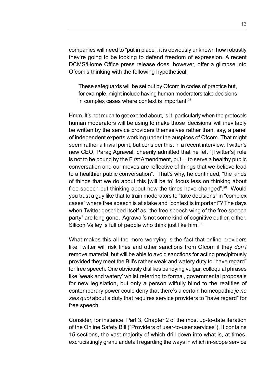companies will need to "put in place", it is obviously unknown how robustly they're going to be looking to defend freedom of expression. A recent DCMS/Home Office press release does, however, offer a glimpse into Ofcom's thinking with the following hypothetical:

These safeguards will be set out by Ofcom in codes of practice but, for example, might include having human moderators take decisions in complex cases where context is important.27

Hmm. It's not much to get excited about, is it, particularly when the protocols human moderators will be using to make those 'decisions' will inevitably be written by the service providers themselves rather than, say, a panel of independent experts working under the auspices of Ofcom. That might seem rather a trivial point, but consider this: in a recent interview, Twitter's new CEO, Parag Agrawal, cheerily admitted that he felt "[Twitter's] role is not to be bound by the First Amendment, but… to serve a healthy public conversation and our moves are reflective of things that we believe lead to a healthier public conversation". That's why, he continued, "the kinds of things that we do about this [will be to] focus less on thinking about free speech but thinking about how the times have changed".28 Would you trust a guy like that to train moderators to "take decisions" in "complex cases" where free speech is at stake and "context is important"? The days when Twitter described itself as "the free speech wing of the free speech party" are long gone. Agrawal's not some kind of cognitive outlier, either. Silicon Valley is full of people who think just like him.<sup>30</sup>

What makes this all the more worrying is the fact that online providers like Twitter will risk fines and other sanctions from Ofcom if they *don't*  remove material, but will be able to avoid sanctions for acting precipitously provided they meet the Bill's rather weak and watery duty to "have regard" for free speech. One obviously dislikes bandying vulgar, colloquial phrases like 'weak and watery' whilst referring to formal, governmental proposals for new legislation, but only a person wilfully blind to the realities of contemporary power could deny that there's a certain homeopathic *je ne sais quoi* about a duty that requires service providers to "have regard" for free speech.

Consider, for instance, Part 3, Chapter 2 of the most up-to-date iteration of the Online Safety Bill ("Providers of user-to-user services"). It contains 15 sections, the vast majority of which drill down into what is, at times, excruciatingly granular detail regarding the ways in which in-scope service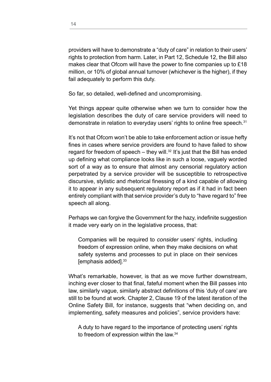providers will have to demonstrate a "duty of care" in relation to their users' rights to protection from harm. Later, in Part 12, Schedule 12, the Bill also makes clear that Ofcom will have the power to fine companies up to £18 million, or 10% of global annual turnover (whichever is the higher), if they fail adequately to perform this duty.

So far, so detailed, well-defined and uncompromising.

Yet things appear quite otherwise when we turn to consider how the legislation describes the duty of care service providers will need to demonstrate in relation to everyday users' rights to online free speech.<sup>31</sup>

It's not that Ofcom won't be able to take enforcement action or issue hefty fines in cases where service providers are found to have failed to show regard for freedom of speech – they will. $32$  It's just that the Bill has ended up defining what compliance looks like in such a loose, vaguely worded sort of a way as to ensure that almost any censorial regulatory action perpetrated by a service provider will be susceptible to retrospective discursive, stylistic and rhetorical finessing of a kind capable of allowing it to appear in any subsequent regulatory report as if it had in fact been entirely compliant with that service provider's duty to "have regard to" free speech all along.

Perhaps we can forgive the Government for the hazy, indefinite suggestion it made very early on in the legislative process, that:

Companies will be required to *consider* users' rights, including freedom of expression online, when they make decisions on what safety systems and processes to put in place on their services [emphasis added].<sup>33</sup>

What's remarkable, however, is that as we move further downstream, inching ever closer to that final, fateful moment when the Bill passes into law, similarly vague, similarly abstract definitions of this 'duty of care' are still to be found at work. Chapter 2, Clause 19 of the latest iteration of the Online Safety Bill, for instance, suggests that "when deciding on, and implementing, safety measures and policies", service providers have:

A duty to have regard to the importance of protecting users' rights to freedom of expression within the law.<sup>34</sup>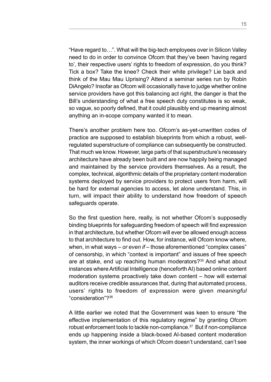"Have regard to…". What will the big-tech employees over in Silicon Valley need to do in order to convince Ofcom that they've been 'having regard to', their respective users' rights to freedom of expression, do you think? Tick a box? Take the knee? Check their white privilege? Lie back and think of the Mau Mau Uprising? Attend a seminar series run by Robin DiAngelo? Insofar as Ofcom will occasionally have to judge whether online service providers have got this balancing act right, the danger is that the Bill's understanding of what a free speech duty constitutes is so weak, so vague, so poorly defined, that it could plausibly end up meaning almost anything an in-scope company wanted it to mean.

There's another problem here too. Ofcom's as-yet-unwritten codes of practice are supposed to establish blueprints from which a robust, wellregulated superstructure of compliance can subsequently be constructed. That much we know. However, large parts of that superstructure's necessary architecture have already been built and are now happily being managed and maintained by the service providers themselves. As a result, the complex, technical, algorithmic details of the proprietary content moderation systems deployed by service providers to protect users from harm, will be hard for external agencies to access, let alone understand. This, in turn, will impact their ability to understand how freedom of speech safeguards operate.

So the first question here, really, is not whether Ofcom's supposedly binding blueprints for safeguarding freedom of speech will find expression in that architecture, but whether Ofcom will ever be allowed enough access to that architecture to find out. How, for instance, will Ofcom know where, when, in what ways – *or even if* – those aforementioned "complex cases" of censorship, in which "context is important" and issues of free speech are at stake, end up reaching human moderators?<sup>35</sup> And what about instances where Artificial Intelligence (henceforth AI) based online content moderation systems proactively take down content – how will external auditors receive credible assurances that, during that automated process, users' rights to freedom of expression were given *meaningful* "consideration"?36

A little earlier we noted that the Government was keen to ensure "the effective implementation of this regulatory regime" by granting Ofcom robust enforcement tools to tackle non-compliance.<sup>37</sup> But if non-compliance ends up happening inside a black-boxed AI-based content moderation system, the inner workings of which Ofcom doesn't understand, can't see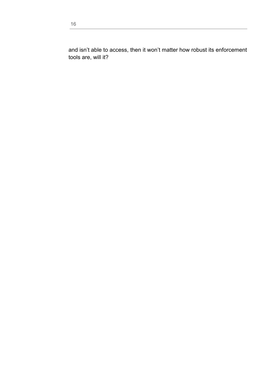and isn't able to access, then it won't matter how robust its enforcement tools are, will it?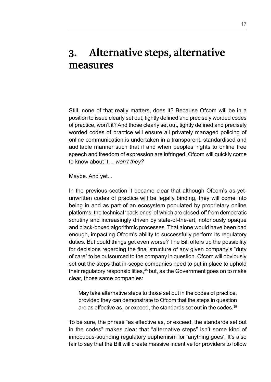#### **3. Alternative steps, alternative measures**

Still, none of that really matters, does it? Because Ofcom will be in a position to issue clearly set out, tightly defined and precisely worded codes of practice, won't it? And those clearly set out, tightly defined and precisely worded codes of practice will ensure all privately managed policing of online communication is undertaken in a transparent, standardised and auditable manner such that if and when peoples' rights to online free speech and freedom of expression are infringed, Ofcom will quickly come to know about it… *won't they?*

Maybe. And yet...

In the previous section it became clear that although Ofcom's as-yetunwritten codes of practice will be legally binding, they will come into being in and as part of an ecosystem populated by proprietary online platforms, the technical 'back-ends' of which are closed-off from democratic scrutiny and increasingly driven by state-of-the-art, notoriously opaque and black-boxed algorithmic processes. That alone would have been bad enough, impacting Ofcom's ability to successfully perform its regulatory duties. But could things get even worse? The Bill offers up the possibility for decisions regarding the final structure of any given company's "duty of care" to be outsourced to the company in question. Ofcom will obviously set out the steps that in-scope companies need to put in place to uphold their regulatory responsibilities,<sup>38</sup> but, as the Government goes on to make clear, those same companies:

May take alternative steps to those set out in the codes of practice, provided they can demonstrate to Ofcom that the steps in question are as effective as, or exceed, the standards set out in the codes.<sup>39</sup>

To be sure, the phrase "as effective as, or exceed, the standards set out in the codes" makes clear that "alternative steps" isn't some kind of innocuous-sounding regulatory euphemism for 'anything goes'. It's also fair to say that the Bill will create massive incentive for providers to follow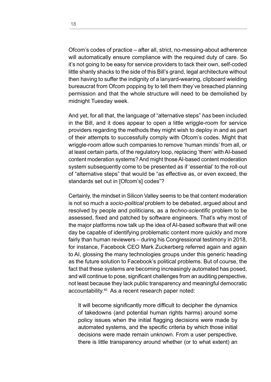Ofcom's codes of practice – after all, strict, no-messing-about adherence will automatically ensure compliance with the required duty of care. So it's not going to be easy for service providers to tack their own, self-coded little shanty shacks to the side of this Bill's grand, legal architecture without then having to suffer the indignity of a lanyard-wearing, clipboard wielding bureaucrat from Ofcom popping by to tell them they've breached planning permission and that the whole structure will need to be demolished by midnight Tuesday week.

And yet, for all that, the language of "alternative steps" *has* been included in the Bill, and it does appear to open a little wriggle-room for service providers regarding the methods they might wish to deploy in and as part of their attempts to successfully comply with Ofcom's codes. Might that wriggle-room allow such companies to remove 'human minds' from all, or at least certain parts, of the regulatory loop, replacing 'them' with AI-based content moderation systems? And might those AI-based content moderation system subsequently come to be presented as if 'essential' to the roll-out of "alternative steps" that would be "as effective as, or even exceed, the standards set out in [Ofcom's] codes"?

Certainly, the mindset in Silicon Valley seems to be that content moderation is not so much a *socio-political* problem to be debated, argued about and resolved by people and politicians, as a *techno-scientific* problem to be assessed, fixed and patched by software engineers. That's why most of the major platforms now talk up the idea of AI-based software that will one day be capable of identifying problematic content more quickly and more fairly than human reviewers – during his Congressional testimony in 2018, for instance, Facebook CEO Mark Zuckerberg referred again and again to AI, glossing the many technologies groups under this generic heading as the future solution to Facebook's political problems. But of course, the fact that these systems are becoming increasingly automated has posed, and will continue to pose, significant challenges from an auditing perspective, not least because they lack public transparency and meaningful democratic accountability.40 As a recent research paper noted:

It will become significantly more difficult to decipher the dynamics of takedowns (and potential human rights harms) around some policy issues when the initial flagging decisions were made by automated systems, and the specific criteria by which those initial decisions were made remain unknown. From a user perspective, there is little transparency around whether (or to what extent) an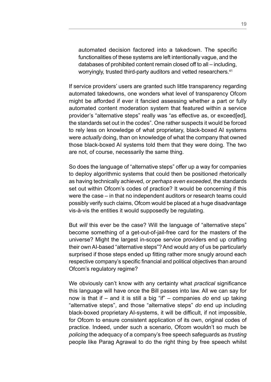automated decision factored into a takedown. The specific functionalities of these systems are left intentionally vague, and the databases of prohibited content remain closed off to all – including, worryingly, trusted third-party auditors and vetted researchers.<sup>41</sup>

If service providers' users are granted such little transparency regarding automated takedowns, one wonders what level of transparency Ofcom might be afforded if ever it fancied assessing whether a part or fully automated content moderation system that featured within a service provider's "alternative steps" really was "as effective as, or exceed[ed], the standards set out in the codes". One rather suspects it would be forced to rely less on knowledge of what proprietary, black-boxed AI systems were *actually* doing, than on knowledge of what the company that owned those black-boxed AI systems told them that they were doing. The two are not, of course, necessarily the same thing.

So does the language of "alternative steps" offer up a way for companies to deploy algorithmic systems that could then be positioned rhetorically as having technically achieved, *or perhaps even exceeded*, the standards set out within Ofcom's codes of practice? It would be concerning if this were the case – in that no independent auditors or research teams could possibly verify such claims, Ofcom would be placed at a huge disadvantage vis-à-vis the entities it would supposedly be regulating.

But *will* this ever be the case? Will the language of "alternative steps" become something of a get-out-of-jail-free card for the masters of the universe? Might the largest in-scope service providers end up crafting their own AI-based "alternative steps"? And would any of us be particularly surprised if those steps ended up fitting rather more snugly around each respective company's specific financial and political objectives than around Ofcom's regulatory regime?

We obviously can't know with any certainty what *practical* significance this language will have once the Bill passes into law. All we can say for now is that if – and it is still a big "if" – companies *do* end up taking "alternative steps", and those "alternative steps" *do* end up including black-boxed proprietary AI-systems, it will be difficult, if not impossible, for Ofcom to ensure consistent application of its own, original codes of practice. Indeed, under such a scenario, Ofcom wouldn't so much be *policing* the adequacy of a company's free speech safeguards as *trusting*  people like Parag Agrawal to do the right thing by free speech whilst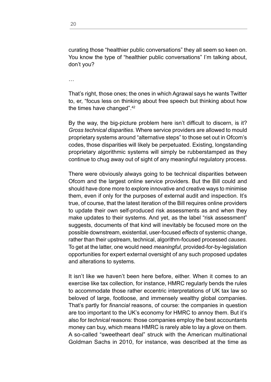…

That's right, those ones; the ones in which Agrawal says he wants Twitter to, er, "focus less on thinking about free speech but thinking about how the times have changed".42

By the way, the big-picture problem here isn't difficult to discern, is it? *Gross technical disparities*. Where service providers are allowed to mould proprietary systems around "alternative steps" to those set out in Ofcom's codes, those disparities will likely be perpetuated. Existing, longstanding proprietary algorithmic systems will simply be rubberstamped as they continue to chug away out of sight of any meaningful regulatory process.

There were obviously always going to be technical disparities between Ofcom and the largest online service providers. But the Bill could and should have done more to explore innovative and creative ways to minimise them, even if only for the purposes of external audit and inspection. It's true, of course, that the latest iteration of the Bill requires online providers to update their own self-produced risk assessments as and when they make updates to their systems. And yet, as the label "risk assessment" suggests, documents of that kind will inevitably be focused more on the possible downstream, existential, user-focused *effects* of systemic change, rather than their upstream, technical, algorithm-focused processed *causes*. To get at the latter, one would need *meaningful*, provided-for-by-legislation opportunities for expert external oversight of any such proposed updates and alterations to systems.

It isn't like we haven't been here before, either. When it comes to an exercise like tax collection, for instance, HMRC regularly bends the rules to accommodate those rather eccentric interpretations of UK tax law so beloved of large, footloose, and immensely wealthy global companies. That's partly for *financial* reasons, of course: the companies in question are too important to the UK's economy for HMRC to annoy them. But it's also for *technical* reasons: those companies employ the best accountants money can buy, which means HMRC is rarely able to lay a glove on them. A so-called "sweetheart deal" struck with the American multinational Goldman Sachs in 2010, for instance, was described at the time as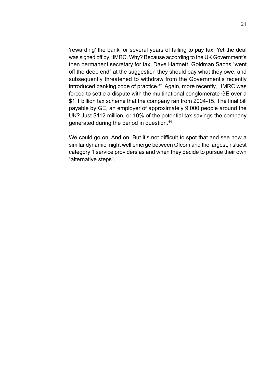'rewarding' the bank for several years of failing to pay tax. Yet the deal was signed off by HMRC. Why? Because according to the UK Government's then permanent secretary for tax, Dave Hartnett, Goldman Sachs "went off the deep end" at the suggestion they should pay what they owe, and subsequently threatened to withdraw from the Government's recently introduced banking code of practice.<sup>43</sup> Again, more recently, HMRC was forced to settle a dispute with the multinational conglomerate GE over a \$1.1 billion tax scheme that the company ran from 2004-15. The final bill payable by GE, an employer of approximately 9,000 people around the UK? Just \$112 million, or 10% of the potential tax savings the company generated during the period in question.44

We could go on. And on. But it's not difficult to spot that and see how a similar dynamic might well emerge between Ofcom and the largest, riskiest category 1 service providers as and when they decide to pursue their own "alternative steps".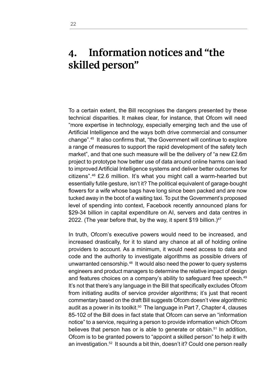#### **4. Information notices and "the skilled person"**

To a certain extent, the Bill recognises the dangers presented by these technical disparities. It makes clear, for instance, that Ofcom will need "more expertise in technology, especially emerging tech and the use of Artificial Intelligence and the ways both drive commercial and consumer change".45 It also confirms that, "the Government will continue to explore a range of measures to support the rapid development of the safety tech market", and that one such measure will be the delivery of "a new £2.6m project to prototype how better use of data around online harms can lead to improved Artificial Intelligence systems and deliver better outcomes for citizens".46 £2.6 million. It's what you might call a warm-hearted but essentially futile gesture, isn't it? The political equivalent of garage-bought flowers for a wife whose bags have long since been packed and are now tucked away in the boot of a waiting taxi. To put the Government's proposed level of spending into context, Facebook recently announced plans for \$29-34 billion in capital expenditure on AI, servers and data centres in 2022. (The year before that, by the way, it spent \$19 billion.) $47$ 

In truth, Ofcom's executive powers would need to be increased, and increased drastically, for it to stand any chance at all of holding online providers to account. As a minimum, it would need access to data and code and the authority to investigate algorithms as possible drivers of unwarranted censorship.48 It would also need the power to query systems engineers and product managers to determine the relative impact of design and features choices on a company's ability to safeguard free speech.<sup>49</sup> It's not that there's any language in the Bill that specifically excludes Ofcom from initiating audits of service provider algorithms; it's just that recent commentary based on the draft Bill suggests Ofcom doesn't view algorithmic audit as a power in its toolkit.<sup>50</sup> The language in Part 7, Chapter 4, clauses 85-102 of the Bill does in fact state that Ofcom can serve an "information notice" to a service, requiring a person to provide information which Ofcom believes that person has or is able to generate or obtain.<sup>51</sup> In addition, Ofcom is to be granted powers to "appoint a skilled person" to help it with an investigation.<sup>52</sup> It sounds a bit thin, doesn't it? Could one person really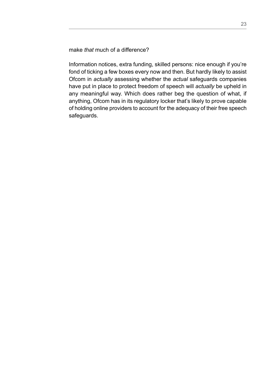make *that* much of a difference?

Information notices, extra funding, skilled persons: nice enough if you're fond of ticking a few boxes every now and then. But hardly likely to assist Ofcom in *actually* assessing whether the *actual* safeguards companies have put in place to protect freedom of speech will *actually* be upheld in any meaningful way. Which does rather beg the question of what, if anything, Ofcom has in its regulatory locker that's likely to prove capable of holding online providers to account for the adequacy of their free speech safeguards.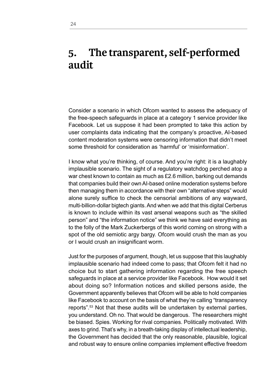#### **5. The transparent, self-performed audit**

Consider a scenario in which Ofcom wanted to assess the adequacy of the free-speech safeguards in place at a category 1 service provider like Facebook. Let us suppose it had been prompted to take this action by user complaints data indicating that the company's proactive, AI-based content moderation systems were censoring information that didn't meet some threshold for consideration as 'harmful' or 'misinformation'.

I know what you're thinking, of course. And you're right: it is a laughably implausible scenario. The sight of a regulatory watchdog perched atop a war chest known to contain as much as £2.6 million, barking out demands that companies build their own AI-based online moderation systems before then managing them in accordance with their own "alternative steps" would alone surely suffice to check the censorial ambitions of any wayward, multi-billion-dollar bigtech giants. And when we add that this digital Cerberus is known to include within its vast arsenal weapons such as "the skilled person" and "the information notice" we think we have said everything as to the folly of the Mark Zuckerbergs of this world coming on strong with a spot of the old semiotic argy bargy. Ofcom would crush the man as you or I would crush an insignificant worm.

Just for the purposes of argument, though, let us suppose that this laughably implausible scenario had indeed come to pass; that Ofcom felt it had no choice but to start gathering information regarding the free speech safeguards in place at a service provider like Facebook. How would it set about doing so? Information notices and skilled persons aside, the Government apparently believes that Ofcom will be able to hold companies like Facebook to account on the basis of what they're calling "transparency reports".53 Not that these audits will be undertaken by external parties, you understand. Oh no. That would be dangerous. The researchers might be biased. Spies. Working for rival companies. Politically motivated. With axes to grind. That's why, in a breath-taking display of intellectual leadership, the Government has decided that the only reasonable, plausible, logical and robust way to ensure online companies implement effective freedom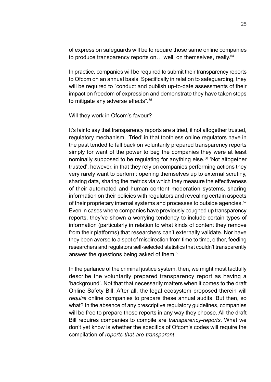of expression safeguards will be to require those same online companies to produce transparency reports on... well, on themselves, really.<sup>54</sup>

In practice, companies will be required to submit their transparency reports to Ofcom on an annual basis. Specifically in relation to safeguarding, they will be required to "conduct and publish up-to-date assessments of their impact on freedom of expression and demonstrate they have taken steps to mitigate any adverse effects".55

#### Will they work in Ofcom's favour?

It's fair to say that transparency reports are a tried, if not altogether trusted, regulatory mechanism. 'Tried' in that toothless online regulators have in the past tended to fall back on voluntarily prepared transparency reports simply for want of the power to beg the companies they were at least nominally supposed to be regulating for anything else.<sup>56</sup> 'Not altogether trusted', however, in that they rely on companies performing actions they very rarely want to perform: opening themselves up to external scrutiny, sharing data, sharing the metrics via which they measure the effectiveness of their automated and human content moderation systems, sharing information on their policies with regulators and revealing certain aspects of their proprietary internal systems and processes to outside agencies.<sup>57</sup> Even in cases where companies have previously coughed up transparency reports, they've shown a worrying tendency to include certain types of information (particularly in relation to what kinds of content they remove from their platforms) that researchers can't externally validate. Nor have they been averse to a spot of misdirection from time to time, either, feeding researchers and regulators self-selected statistics that couldn't transparently answer the questions being asked of them.58

In the parlance of the criminal justice system, then, we might most tactfully describe the voluntarily prepared transparency report as having a 'background'. Not that that necessarily matters when it comes to the draft Online Safety Bill. After all, the legal ecosystem proposed therein will *require* online companies to prepare these annual audits. But then, so what? In the absence of any prescriptive regulatory guidelines, companies will be free to prepare those reports in any way they choose. All the draft Bill requires companies to compile are *transparency-reports*. What we don't yet know is whether the specifics of Ofcom's codes will require the compilation of *reports-that-are-transparent*.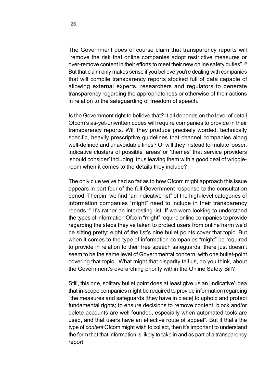The Government does of course claim that transparency reports will "remove the risk that online companies adopt restrictive measures or over-remove content in their efforts to meet their new online safety duties".59 But that claim only makes sense if you believe you're dealing with companies that will compile transparency reports stocked full of data capable of allowing external experts, researchers and regulators to generate transparency regarding the appropriateness or otherwise of their actions in relation to the safeguarding of freedom of speech.

Is the Government right to believe that? It all depends on the level of detail Ofcom's as-yet-unwritten codes will require companies to provide in their transparency reports. Will they produce precisely worded, technically specific, heavily prescriptive guidelines that channel companies along well-defined and unavoidable lines? Or will they instead formulate looser, indicative clusters of possible 'areas' or 'themes' that service providers 'should consider' including, thus leaving them with a good deal of wriggleroom when it comes to the details they include?

The only clue we've had so far as to how Ofcom might approach this issue appears in part four of the full Government response to the consultation period. Therein, we find "an indicative list" of the high-level categories of information companies "might" need to include in their transparency reports.60 It's rather an interesting list. If we were looking to understand the types of information Ofcom "might" require online companies to provide regarding the steps they've taken to protect users from online harm we'd be sitting pretty: eight of the list's nine bullet points cover that topic. But when it comes to the type of information companies "might" be required to provide in relation to their free speech safeguards, there just doesn't seem to be the same level of Governmental concern, with one bullet-point covering that topic. What might that disparity tell us, do you think, about the Government's overarching priority within the Online Safety Bill?

Still, this one, solitary bullet point does at least give us an 'indicative' idea that in-scope companies might be required to provide information regarding "the measures and safeguards [they have in place] to uphold and protect fundamental rights; to ensure decisions to remove content, block and/or delete accounts are well founded, especially when automated tools are used, and that users have an effective route of appeal". But if that's the type of *content* Ofcom might wish to collect, then it's important to understand the form that that information is likely to take in and as part of a transparency report.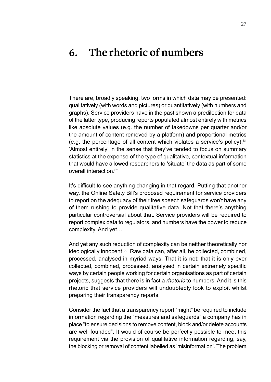#### **6. The rhetoric of numbers**

There are, broadly speaking, two forms in which data may be presented: qualitatively (with words and pictures) or quantitatively (with numbers and graphs). Service providers have in the past shown a predilection for data of the latter type, producing reports populated almost entirely with metrics like absolute values (e.g. the number of takedowns per quarter and/or the amount of content removed by a platform) and proportional metrics (e.g. the percentage of all content which violates a service's policy). $61$ 'Almost entirely' in the sense that they've tended to focus on summary statistics at the expense of the type of qualitative, contextual information that would have allowed researchers to 'situate' the data as part of some overall interaction <sup>62</sup>

It's difficult to see anything changing in that regard. Putting that another way, the Online Safety Bill's proposed requirement for service providers to report on the adequacy of their free speech safeguards won't have any of them rushing to provide qualitative data. Not that there's anything particular controversial about that. Service providers will be required to report complex data to regulators, and numbers have the power to reduce complexity. And yet…

And yet any such reduction of complexity can be neither theoretically nor ideologically innocent.<sup>63</sup> Raw data can, after all, be collected, combined, processed, analysed in myriad ways. That it is not; that it is only ever collected, combined, processed, analysed in certain extremely specific ways by certain people working for certain organisations as part of certain projects, suggests that there is in fact a *rhetoric* to numbers. And it is this rhetoric that service providers will undoubtedly look to exploit whilst preparing their transparency reports.

Consider the fact that a transparency report "might" be required to include information regarding the "measures and safeguards" a company has in place "to ensure decisions to remove content, block and/or delete accounts are well founded". It would of course be perfectly possible to meet this requirement via the provision of qualitative information regarding, say, the blocking or removal of content labelled as 'misinformation'. The problem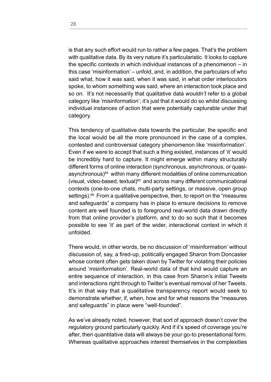is that any such effort would run to rather a few pages. That's the problem with qualitative data. By its very nature it's particularistic. It looks to capture the specific contexts in which individual instances of a phenomenon – in this case 'misinformation' – unfold, and, in addition, the particulars of who said what, how it was said, when it was said, in what order interlocutors spoke, to whom something was said, where an interaction took place and so on. It's not necessarily that qualitative data *wouldn't* refer to a global category like 'misinformation'; it's just that it would do so whilst discussing individual instances of action that were potentially capturable under that category.

This tendency of qualitative data towards the particular, the specific and the local would be all the more pronounced in the case of a complex, contested and controversial category phenomenon like 'misinformation'. Even if we *were* to accept that such a thing existed, instances of 'it' would be incredibly hard to capture. It might emerge within many structurally different forms of online interaction (synchronous, asynchronous, or quasiasynchronous)<sup>64</sup> within many different modalities of online communication (visual, video-based, textual) $65$  and across many different communicational contexts (one-to-one chats, multi-party settings, or massive, open group settings).<sup>66</sup> From a qualitative perspective, then, to report on the "measures" and safeguards" a company has in place to ensure decisions to remove content are well founded is to foreground real-world data drawn directly from that online provider's platform, and to do so such that it becomes possible to see 'it' as part of the wider, interactional context in which it unfolded.

There would, in other words, be no discussion of 'misinformation' without discussion of, say, a fired-up, politically engaged Sharon from Doncaster whose content often gets taken down by Twitter for violating their policies around 'misinformation'. Real-world data of that kind would capture an entire sequence of interaction, in this case from Sharon's initial Tweets and interactions right through to Twitter's eventual removal of her Tweets. It's in that way that a qualitative transparency report would seek to demonstrate whether, if, when, how and for what reasons the "measures and safeguards" in place were "well-founded".

As we've already noted, however, that sort of approach doesn't cover the regulatory ground particularly quickly. And if it's speed of coverage you're after, then quantitative data will always be your go-to presentational form. Whereas qualitative approaches interest themselves in the complexities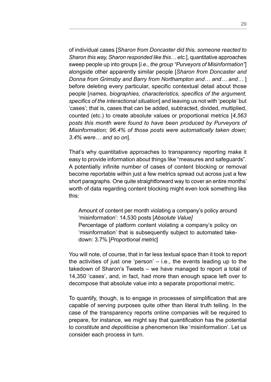of individual cases [*Sharon from Doncaster did this, someone reacted to Sharon this way, Sharon responded like this… etc.*], quantitative approaches sweep people up into groups [*i.e., the group "Purveyors of Misinformation"*] alongside other apparently similar people [*Sharon from Doncaster and Donna from Grimsby and Barry from Northampton and… and… and…* ] before deleting every particular, specific contextual detail about those people [*names, biographies, characteristics, specifics of the argument, specifics of the interactional situation*] and leaving us not with 'people' but 'cases'; that is, cases that can be added, subtracted, divided, multiplied, counted (etc.) to create absolute values or proportional metrics [*4,563 posts this month were found to have been produced by Purveyors of Misinformation; 96.4% of those posts were automatically taken down; 3.4% were… and so on*].

That's why quantitative approaches to transparency reporting make it easy to provide information about things like "measures and safeguards". A potentially infinite number of cases of content blocking or removal become reportable within just a few metrics spread out across just a few short paragraphs. One quite straightforward way to cover an entire months' worth of data regarding content blocking might even look something like this:

Amount of content per month violating a company's policy around 'misinformation': 14,530 posts [*Absolute Value]* Percentage of platform content violating a company's policy on 'misinformation' that is subsequently subject to automated takedown: 3.7% [*Proportional metric*]

You will note, of course, that in far less textual space than it took to report the activities of just one 'person' – i.e., the events leading up to the takedown of Sharon's Tweets – we have managed to report a total of 14,350 'cases', and, in fact, had more than enough space left over to decompose that absolute value into a separate proportional metric.

To quantify, though, is to engage in processes of simplification that are capable of serving purposes quite other than literal truth telling. In the case of the transparency reports online companies will be required to prepare, for instance, we might say that quantification has the potential to *constitute* and *depoliticise* a phenomenon like 'misinformation'. Let us consider each process in turn.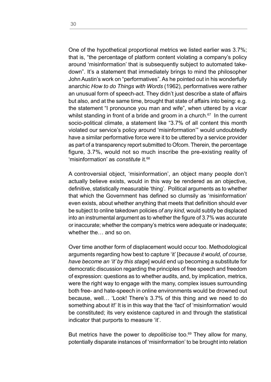One of the hypothetical proportional metrics we listed earlier was 3.7%; that is, "the percentage of platform content violating a company's policy around 'misinformation' that is subsequently subject to automated takedown". It's a statement that immediately brings to mind the philosopher John Austin's work on "performatives". As he pointed out in his wonderfully anarchic *How to do Things with Words* (1962), performatives were rather an unusual form of speech-act. They didn't just describe a state of affairs but also, and at the same time, brought that state of affairs into being: e.g. the statement "I pronounce you man and wife", when uttered by a vicar whilst standing in front of a bride and groom in a church.<sup>67</sup> In the current socio-political climate, a statement like "3.7% of all content this month violated our service's policy around 'misinformation'" would undoubtedly have a similar performative force were it to be uttered by a service provider as part of a transparency report submitted to Ofcom. Therein, the percentage figure, 3.7%, would not so much inscribe the pre-existing reality of 'misinformation' as *constitute* it.<sup>68</sup>

A controversial object, 'misinformation', an object many people don't actually believe exists, would in this way be rendered as an objective, definitive, statistically measurable 'thing'. Political arguments as to whether that which the Government has defined so clumsily as 'misinformation' even exists, about whether anything that meets that definition should ever be subject to online takedown policies *of any kind,* would subtly be displaced into an instrumental argument as to whether the figure of 3.7% was accurate or inaccurate; whether the company's metrics were adequate or inadequate; whether the… and so on.

Over time another form of displacement would occur too. Methodological arguments regarding how best to capture 'it' [*because it would, of course, have become an 'it' by this stage*] would end up becoming a substitute for democratic discussion regarding the principles of free speech and freedom of expression: questions as to whether audits, and, by implication, metrics, were the right way to engage with the many, complex issues surrounding both free- and hate-speech in online environments would be drowned out because, well… 'Look! There's 3.7% of this thing and we need to do something about it!' It is in this way that the 'fact' of 'misinformation' would be constituted; its very existence captured in and through the statistical indicator that purports to measure 'it'.

But metrics have the power to *depoliticise* too.<sup>69</sup> They allow for many, potentially disparate instances of 'misinformation' to be brought into relation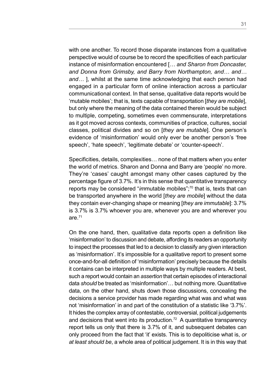with one another. To record those disparate instances from a qualitative perspective would of course be to record the specificities of each particular instance of misinformation encountered [*… and Sharon from Doncaster, and Donna from Grimsby, and Barry from Northampton, and… and… and…* ], whilst at the same time acknowledging that each person had engaged in a particular form of online interaction across a particular communicational context. In that sense, qualitative data reports would be 'mutable mobiles'; that is, texts capable of transportation [*they are mobile*], but only where the meaning of the data contained therein would be subject to multiple, competing, sometimes even commensurate, interpretations as it got moved across contexts, communities of practice, cultures, social classes, political divides and so on [*they are mutable*]. One person's evidence of 'misinformation' would only ever be another person's 'free speech', 'hate speech', 'legitimate debate' or 'counter-speech'.

Specificities, details, complexities… none of that matters when you enter the world of metrics. Sharon and Donna and Barry are 'people' no more. They're 'cases' caught amongst many other cases captured by the percentage figure of 3.7%. It's in this sense that quantitative transparency reports may be considered "*im*mutable mobiles";70 that is, texts that can be transported anywhere in the world [*they are mobile*] without the data they contain ever-changing shape or meaning [*they are immutable*]: 3.7% is 3.7% is 3.7% whoever you are, whenever you are and wherever you are. $71$ 

On the one hand, then, qualitative data reports open a definition like 'misinformation' to discussion and debate, affording its readers an opportunity to inspect the processes that led to a decision to classify any given interaction as 'misinformation'. It's impossible for a qualitative report to present some once-and-for-all definition of 'misinformation' precisely because the details it contains can be interpreted in multiple ways by multiple readers. At best, such a report would contain an *assertion* that certain episodes of interactional data *should* be treated as 'misinformation'… but nothing more. Quantitative data, on the other hand, shuts down those discussions, concealing the decisions a service provider has made regarding what was and what was not 'misinformation' in and part of the constitution of a statistic like '3.7%'. It hides the complex array of contestable, controversial, political judgements and decisions that went into its production.72 A quantitative transparency report tells us only that there is 3.7% of it, and subsequent debates can only proceed from the fact that 'it' exists. This is to depoliticise what is, *or at least should be*, a whole area of political judgement. It is in this way that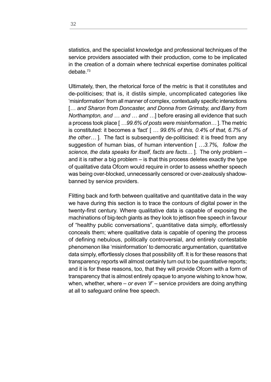statistics, and the specialist knowledge and professional techniques of the service providers associated with their production, come to be implicated in the creation of a domain where technical expertise dominates political debate<sup>73</sup>

Ultimately, then, the rhetorical force of the metric is that it constitutes and de-politicises; that is, it distils simple, uncomplicated categories like 'misinformation' from all manner of complex, contextually specific interactions [*… and Sharon from Doncaster, and Donna from Grimsby, and Barry from Northampton, and … and … and …*] before erasing all evidence that such a process took place [ *…99.6% of posts were misinformation…* ]. The metric is constituted: it becomes a 'fact' [ *… 99.6% of this, 0.4% of that, 6.7% of the other…* ]. The fact is subsequently de-politicised: it is freed from any suggestion of human bias, of human intervention [ *…3.7%, follow the science, the data speaks for itself, facts are facts…* ]. The only problem – and it is rather a big problem – is that this process deletes exactly the type of qualitative data Ofcom would require in order to assess whether speech was being over-blocked, unnecessarily censored or over-zealously shadowbanned by service providers.

Flitting back and forth between qualitative and quantitative data in the way we have during this section is to trace the contours of digital power in the twenty-first century. Where qualitative data is capable of exposing the machinations of big-tech giants as they look to jettison free speech in favour of "healthy public conversations", quantitative data simply, effortlessly conceals them; where qualitative data is capable of opening the process of defining nebulous, politically controversial, and entirely contestable phenomenon like 'misinformation' to democratic argumentation, quantitative data simply, effortlessly closes that possibility off. It is for these reasons that transparency reports will almost certainly turn out to be *quantitative* reports; and it is for these reasons, too, that they will provide Ofcom with a form of transparency that is almost entirely opaque to anyone wishing to know how, when, whether, where – *or even 'if'* – service providers are doing anything at all to safeguard online free speech.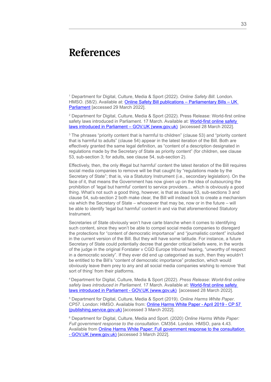#### **References**

1 Department for Digital, Culture, Media & Sport (2022). *Online Safety Bill*. London. HMSO. (58/2). Available at: [Online Safety Bill publications – Parliamentary Bills – UK](https://bills.parliament.uk/bills/3137/publications)  [Parliament](https://bills.parliament.uk/bills/3137/publications) [accessed 29 March 2022].

2 Department for Digital, Culture, Media & Sport (2022). Press Release: World-first online safety laws introduced in Parliament. 17 March. Available at: [World-first online safety](Department for Digital, Culture, Media & Sport (2022). Press Release: World-first online safety laws introduced in Parliament. 17 March. Available at: World-first online safety laws introduced in Parliament – GOV.UK (www.gov.uk)  [accessed 28 March 2022].)  [laws introduced in Parliament – GOV.UK \(www.gov.uk\)](Department for Digital, Culture, Media & Sport (2022). Press Release: World-first online safety laws introduced in Parliament. 17 March. Available at: World-first online safety laws introduced in Parliament – GOV.UK (www.gov.uk)  [accessed 28 March 2022].) [accessed 28 March 2022].

3 The phrases "priority content that is harmful to children" (clause 53) and "priority content that is harmful to adults" (clause 54) appear in the latest iteration of the Bill. Both are effectively granted the same legal definition, as "content of a description designated in regulations made by the Secretary of State as priority content" (for children, see clause 53, sub-section 3; for adults, see clause 54, sub-section 2).

Effectively, then, the only #legal but harmful' content the latest iteration of the Bill requires social media companies to remove will be that caught by "regulations made by the Secretary of State"; that is, via a Statutory Instrument (i.e., secondary legislation). On the face of it, that means the Government has now given up on the idea of outsourcing the prohibition of 'legal but harmful' content to service providers… which is obviously a good thing. What's not such a good thing, however, is that as clause 53, sub-sections 3 and clause 54, sub-section 2 both make clear, the Bill will instead look to create a mechanism via which the Secretary of State – whosoever that may be, now or in the future – will be able to identify 'legal but harmful' content in and via that aforementioned Statutory Instrument.

Secretaries of State obviously won't have carte blanche when it comes to identifying such content, since they won't be able to compel social media companies to disregard the protections for "content of democratic importance" and "journalistic content" included in the current version of the Bill. But they will have some latitude. For instance, a future Secretary of State could potentially decree that gender critical beliefs were, in the words of the judge in the original Forstater v CGD Europe tribunal hearing, "unworthy of respect in a democratic society". If they ever did end up categorised as such, then they wouldn't be entitled to the Bill's "content of democratic importance" protection, which would obviously leave them prey to any and all social media companies wishing to remove 'that sort of thing' from their platforms.

4 Department for Digital, Culture, Media & Sport (2022). *Press Release: World-first online safety laws introduced in Parliament*. 17 March. Available at: [World-first online safety](https://www.gov.uk/government/news/world-first-online-safety-laws-introduced-in-parliament)  [laws introduced in Parliament - GOV.UK \(www.gov.uk\)](https://www.gov.uk/government/news/world-first-online-safety-laws-introduced-in-parliament) [accessed 28 March 2022].

5 Department for Digital, Culture, Media & Sport (2019). *Online Harms White Paper*. CP57. London: HMSO. Available from: [Online Harms White Paper - April 2019 - CP 57](https://assets.publishing.service.gov.uk/government/uploads/system/uploads/attachment_data/file/973939/Online_Harms_White_Paper_V2.pdf)  [\(publishing.service.gov.uk\)](https://assets.publishing.service.gov.uk/government/uploads/system/uploads/attachment_data/file/973939/Online_Harms_White_Paper_V2.pdf) [accessed 3 March 2022].

6 Department for Digital, Culture, Media and Sport. (2020) *Online Harms White Paper: Full government response to the consultation*. CM354. London. HMSO, para 4.43. Available from [Online Harms White Paper: Full government response to the consultation](https://www.gov.uk/government/consultations/online-harms-white-paper/outcome/online-harms-white-paper-full-government-response)  [- GOV.UK \(www.gov.uk\)](https://www.gov.uk/government/consultations/online-harms-white-paper/outcome/online-harms-white-paper-full-government-response) [accessed 3 March 2022].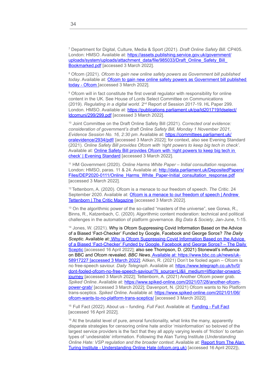7 Department for Digital, Culture, Media & Sport (2021). *Draft Online Safety Bill*. CP405. London: HMSO. Available at: [https://assets.publishing.service.gov.uk/government/](https://assets.publishing.service.gov.uk/government/uploads/system/uploads/attachment_data/file/985033/Draft_Online_Safety_Bill_Bookmarked.pdf) [uploads/system/uploads/attachment\\_data/file/985033/Draft\\_Online\\_Safety\\_Bill\\_](https://assets.publishing.service.gov.uk/government/uploads/system/uploads/attachment_data/file/985033/Draft_Online_Safety_Bill_Bookmarked.pdf) [Bookmarked.pdf](https://assets.publishing.service.gov.uk/government/uploads/system/uploads/attachment_data/file/985033/Draft_Online_Safety_Bill_Bookmarked.pdf) [accessed 3 March 2022].

8 Ofcom (2021). *Ofcom to gain new online safety powers as Government bill published today*. Available at: [Ofcom to gain new online safety powers as Government bill published](https://www.ofcom.org.uk/about-ofcom/latest/features-and-news/new-online-safety-powers-government-bill-published)  [today - Ofcom](https://www.ofcom.org.uk/about-ofcom/latest/features-and-news/new-online-safety-powers-government-bill-published) [accessed 3 March 2022].

9 Ofcom will in fact constitute the first overall regulator with responsibility for online content in the UK. See House of Lords Select Committee on Communications (2019). *Regulating in a digital world*. 2nd Report of Session 2017-19. HL Paper 299. London. HMSO. Available at: [https://publications.parliament.uk/pa/ld201719/ldselect/](https://publications.parliament.uk/pa/ld201719/ldselect/ldcomuni/299/299.pdf) [ldcomuni/299/299.pdf](https://publications.parliament.uk/pa/ld201719/ldselect/ldcomuni/299/299.pdf) [accessed 3 March 2022].

10 Joint Committee on the Draft Online Safety Bill (2021). *Corrected oral evidence: consideration of government's draft Online Safety Bill, Monday 1 November 2021, Evidence Session No. 16, 2:30 pm*. Available at: [https://committees.parliament.uk/](https://committees.parliament.uk/oralevidence/2934/pdf/) [oralevidence/2934/pdf/](https://committees.parliament.uk/oralevidence/2934/pdf/) [accessed 3 March 2022]; for context, also see Evening Standard (2021). *Online Safety Bill provides Ofcom with 'right powers to keep big tech in check'*. Available at: [Online Safety Bill provides Ofcom with 'right powers to keep big tech in](https://www.standard.co.uk/news/uk/dame-safety-ofcom-european-union-mps-b963758.html)  [check' | Evening Standard](https://www.standard.co.uk/news/uk/dame-safety-ofcom-european-union-mps-b963758.html) [accessed 3 March 2022].

11 HM Government (2020). *Online Harms White Paper – Initial consultation response*. London: HMSO, paras. 11 & 24. Available at: [http://data.parliament.uk/DepositedPapers/](http://data.parliament.uk/DepositedPapers/Files/DEP2020-0111/Online_Harms_White_Paper-Initial_consultation_response.pdf) [Files/DEP2020-0111/Online\\_Harms\\_White\\_Paper-Initial\\_consultation\\_response.pdf](http://data.parliament.uk/DepositedPapers/Files/DEP2020-0111/Online_Harms_White_Paper-Initial_consultation_response.pdf) [accessed 3 March 2022].

12 Tettenborn, A. (2020). Ofcom is a menace to our freedom of speech. *The Critic*. 24 September 2020. Available at: Ofcom is a menace to our freedom of speech I Andrew [Tettenborn | The Critic Magazine](https://thecritic.co.uk/ofcom-is-a-menace-to-our-freedom-of-speech/) [accessed 3 March 2022].

<sup>13</sup> On the algorithmic power of the so-called "masters of the universe", see Gorwa, R., Binns, R., Katzenbach, C. (2020). Algorithmic content moderation: technical and political challenges in the automation of platform governance. *Big Data & Society*, Jan-June, 1-15.

<sup>14</sup> Jones, W. (2021). Why is Ofcom Suppressing Covid Information Based on the Advice of a Biased 'Fact-Checker' Funded by Google, Facebook and George Soros? *The Daily Sceptic*. Available at: [Why is Ofcom Suppressing Covid Information Based on the Advice](https://dailysceptic.org/2021/06/06/why-is-ofcom-suppressing-covid-information-based-on-the-advice-of-a-biased-fact-checker-funded-by-google-facebook-and-george-soros/?utm_source=ground.news&utm_medium=referral)  [of a Biased 'Fact-Checker' Funded by Google, Facebook and George Soros? – The Daily](https://dailysceptic.org/2021/06/06/why-is-ofcom-suppressing-covid-information-based-on-the-advice-of-a-biased-fact-checker-funded-by-google-facebook-and-george-soros/?utm_source=ground.news&utm_medium=referral)  [Sceptic](https://dailysceptic.org/2021/06/06/why-is-ofcom-suppressing-covid-information-based-on-the-advice-of-a-biased-fact-checker-funded-by-google-facebook-and-george-soros/?utm_source=ground.news&utm_medium=referral) [accessed 16 April 2022]; also see Thompson, D. (2021) Stonewall's influence on BBC and Ofcom revealed. *BBC News*. Available at: [https://www.bbc.co.uk/news/uk-](https://www.bbc.co.uk/news/uk-58917227)[58917227](https://www.bbc.co.uk/news/uk-58917227) [accessed 3 March 2022]; Aitken, R. (2021) Don't be fooled again – Ofcom is no free-speech saviour. *Daily Telegraph*. Available at: [https://www.telegraph.co.uk/tv/0/](https://www.telegraph.co.uk/tv/0/dont-fooled-ofcom-no-free-speech-saviour/?li_source=LI&li_medium=liftigniter-onward-journey) [dont-fooled-ofcom-no-free-speech-saviour/?li\\_source=LI&li\\_medium=liftigniter-onward](https://www.telegraph.co.uk/tv/0/dont-fooled-ofcom-no-free-speech-saviour/?li_source=LI&li_medium=liftigniter-onward-journey)iourney laccessed 3 March 2022]; Tettenborn, A. (2021) Another Ofcom power grab. *Spiked Online*. Available at: [https://www.spiked-online.com/2021/07/28/another-ofcom](https://www.spiked-online.com/2021/07/28/another-ofcom-power-grab/)[power-grab/](https://www.spiked-online.com/2021/07/28/another-ofcom-power-grab/) [accessed 3 March 2022]; Davenport, N. (2021) Ofcom wants to No Platform trans-sceptics. *Spiked Online*. Available at: [https://www.spiked-online.com/2021/01/06/](https://www.spiked-online.com/2021/01/06/ofcom-wants-to-no-platform-trans-sceptics/) [ofcom-wants-to-no-platform-trans-sceptics/](https://www.spiked-online.com/2021/01/06/ofcom-wants-to-no-platform-trans-sceptics/) [accessed 3 March 2022].

15 Full Fact (2022). About us – funding. *Full Fact*. Available at: [Funding - Full Fact](https://fullfact.org/about/funding/) [accessed 16 April 2022].

<sup>16</sup> At the brutalist level of pure, amoral functionality, what links the many, apparently disparate strategies for censoring online hate and/or 'misinformation' so beloved of the largest service providers is the fact that they all apply varying levels of 'friction' to certain types of 'undesirable' information. Following the Alan Turing Institute (*Understanding Online Hate: VSP regulation and the broader context*. Available at: [Report from The Alan](https://www.ofcom.org.uk/__data/assets/pdf_file/0022/216490/alan-turing-institute-report-understanding-online-hate.pdf)  [Turing Institute - Understanding Online Hate \(ofcom.org.uk\)](https://www.ofcom.org.uk/__data/assets/pdf_file/0022/216490/alan-turing-institute-report-understanding-online-hate.pdf) [accessed 16 April 2022]),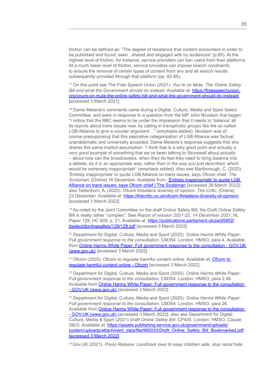friction can be defined as: "The degree of resistance that content encounters in order to be published and found, seen , shared and engaged with by audiences" (p.80). At the highest level of friction, for instance, service providers can ban users from their platforms. At a much lower level of friction, service providers can impose search constraints to ensure the removal of certain types of content from any and all search results subsequently provided through that platform (pp. 82-85).

17 On this point see The Free Speech Union (2021). *You're on Mute: The Online Safety Bill and what the Government should do instead*. Available at: [https://freespeechunion.](https://freespeechunion.org/youre-on-mute-the-online-safety-bill-and-what-the-government-should-do-instead/) [org/youre-on-mute-the-online-safety-bill-and-what-the-government-should-do-instead/](https://freespeechunion.org/youre-on-mute-the-online-safety-bill-and-what-the-government-should-do-instead/) [accessed 3 March 2021].

<sup>18</sup> Dame Melanie's comments came during a Digital, Culture, Media and Sport Select Committee, and were in response to a question from the MP John Nicolson that began: "I notice that the BBC seems to be under the impression that it needs to 'balance' all its reports about trans issues now, by calling in *transphobic groups* like the so-called LGB Alliance to give a counter argument…" (emphasis added). Nicolson was of course presupposing that this pejorative categorisation of LGB Alliance was factual, unproblematic and universally accepted. Dame Melanie's response suggests that she shares this same implicit assumption: "I think that is a very good point and actually *a very good example* of something that we've been talking to Stonewall about actually – about how can the broadcasters, when they do feel they need to bring balance into a debate, do it in an appropriate way, *rather than in the way you just described, which would be extremely inappropriate*" (emphasis added). Also see Marlborough, C. (2020). 'Entirely inappropriate' to quote LGB Alliance on trans issues, says Ofcom chief. *The Scotsman*. [Online] 16 December. Available from: ['Entirely inappropriate' to quote LGB](https://www.scotsman.com/news/politics/entirely-inappropriate-quote-lgb-alliance-trans-issues-says-ofcom-chief-3069446)  [Alliance on trans issues, says Ofcom chief | The Scotsman](https://www.scotsman.com/news/politics/entirely-inappropriate-quote-lgb-alliance-trans-issues-says-ofcom-chief-3069446) [accessed 28 March 2022]; also Tettenborn, A. (2020). Ofcom threatens diversity of opinion. *The Critic*. [Online] 23 December. Available at: <https://thecritic.co.uk/ofcom-threatens-diversity-of-opinion/> [accessed 3 March 2022].

19 As noted by the Joint Committee on the draft Online Safety Bill, the Draft Online Safety Bill is really rather "complex". See *Report of session 2021-22, 14 December 2021*, HL Paper 129, HC 609, p. 21. Available at: [https://publications.parliament.uk/pa/jt5802/](https://publications.parliament.uk/pa/jt5802/jtselect/jtonlinesafety/129/129.pdf) [jtselect/jtonlinesafety/129/129.pdf](https://publications.parliament.uk/pa/jt5802/jtselect/jtonlinesafety/129/129.pdf) [accessed 3 March 2022].

20 Department for Digital, Culture, Media and Sport (2020). *Online Harms White Paper: Full government response to the consultation*, CM354. London. HMSO, para 4. Available from [Online Harms White Paper: Full government response to the consultation - GOV.UK](https://www.gov.uk/government/consultations/online-harms-white-paper/outcome/online-harms-white-paper-full-government-response)  [\(www.gov.uk\)](https://www.gov.uk/government/consultations/online-harms-white-paper/outcome/online-harms-white-paper-full-government-response) [accessed 3 March 2022].

<sup>21</sup> Ofcom (2020). [Ofcom to](https://www.ofcom.org.uk/about-ofcom/latest/features-and-news/ofcom-to-regulate-harmful-content-online) regulate harmful content online. Available at: Ofcom to [regulate harmful content online - Ofcom](https://www.ofcom.org.uk/about-ofcom/latest/features-and-news/ofcom-to-regulate-harmful-content-online) [accessed 3 March 2022].

22 Department for Digital, Culture, Media and Sport (2020). *Online Harms White Paper: Full government response to the consultation*, CM354. London. HMSO, para 2.48. Available from [Online Harms White Paper: Full government response to the consultation](https://www.gov.uk/government/consultations/online-harms-white-paper/outcome/online-harms-white-paper-full-government-response)  [- GOV.UK \(www.gov.uk\)](https://www.gov.uk/government/consultations/online-harms-white-paper/outcome/online-harms-white-paper-full-government-response) [accessed 3 March 2022].

23 Department for Digital, Culture, Media and Sport (2020). *Online Harms White Paper: Full government response to the consultation*, CM354. London. HMSO, para 26. Available from [Online Harms White Paper: Full government response to the consultation](https://www.gov.uk/government/consultations/online-harms-white-paper/outcome/online-harms-white-paper-full-government-response)  [- GOV.UK \(www.gov.uk\)](https://www.gov.uk/government/consultations/online-harms-white-paper/outcome/online-harms-white-paper-full-government-response) [accessed 3 March 2022]; also see Department for Digital, Culture, Media & Sport (2021) *Draft Online Safety Bill*. CP405. London: HMSO, Clause 29(3). Available at: [https://assets.publishing.service.gov.uk/government/uploads/](https://assets.publishing.service.gov.uk/government/uploads/system/uploads/attachment_data/file/985033/Draft_Online_Safety_Bill_Bookmarked.pdf) [system/uploads/attachment\\_data/file/985033/Draft\\_Online\\_Safety\\_Bill\\_Bookmarked.pdf](https://assets.publishing.service.gov.uk/government/uploads/system/uploads/attachment_data/file/985033/Draft_Online_Safety_Bill_Bookmarked.pdf) [accessed 3 March 2022].

24 Gov.UK (2021). *Press Release: Landmark laws to keep children safe, stop racial hate*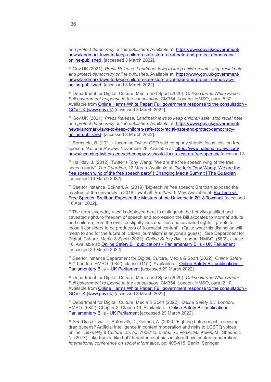*and protect democracy online published*. Available at: [https://www.gov.uk/government/](https://www.gov.uk/government/news/landmark-laws-to-keep-children-safe-stop-racial-hate-and-protect-democracy-online-published) [news/landmark-laws-to-keep-children-safe-stop-racial-hate-and-protect-democracy](https://www.gov.uk/government/news/landmark-laws-to-keep-children-safe-stop-racial-hate-and-protect-democracy-online-published)[online-published](https://www.gov.uk/government/news/landmark-laws-to-keep-children-safe-stop-racial-hate-and-protect-democracy-online-published) [accessed 3 March 2022].

25 Gov.UK (2021). *Press Release: Landmark laws to keep children safe, stop racial hate and protect democracy online published*. Available at: [https://www.gov.uk/government/](https://www.gov.uk/government/news/landmark-laws-to-keep-children-safe-stop-racial-hate-and-protect-democracy-online-published) [news/landmark-laws-to-keep-children-safe-stop-racial-hate-and-protect-democracy](https://www.gov.uk/government/news/landmark-laws-to-keep-children-safe-stop-racial-hate-and-protect-democracy-online-published)[online-published](https://www.gov.uk/government/news/landmark-laws-to-keep-children-safe-stop-racial-hate-and-protect-democracy-online-published) [accessed 3 March 2022].

26 Department for Digital, Culture, Media and Sport (2020). *Online Harms White Paper: Full government response to the consultation*, CM354. London. HMSO, para. 5.32. Available from [Online Harms White Paper: Full government response to the consultation -](https://www.gov.uk/government/consultations/online-harms-white-paper/outcome/online-harms-white-paper-full-government-response)  [GOV.UK \(www.gov.uk\)](https://www.gov.uk/government/consultations/online-harms-white-paper/outcome/online-harms-white-paper-full-government-response) [accessed 3 March 2022].

27 Gov.UK (2021). *Press Release: Landmark laws to keep children safe, stop racial hate and protect democracy online published*. Available at: [https://www.gov.uk/government/](https://www.gov.uk/government/news/landmark-laws-to-keep-children-safe-stop-racial-hate-and-protect-democracy-online-published) [news/landmark-laws-to-keep-children-safe-stop-racial-hate-and-protect-democracy](https://www.gov.uk/government/news/landmark-laws-to-keep-children-safe-stop-racial-hate-and-protect-democracy-online-published)[online-published](https://www.gov.uk/government/news/landmark-laws-to-keep-children-safe-stop-racial-hate-and-protect-democracy-online-published) [accessed 3 March 2022].

28 Bernstein, B. (2021). Incoming Twitter CEO said company should 'focus less' on free speech. National Review. November 29. Available at: [https://www.nationalreview.com/](https://www.nationalreview.com/news/incoming-twitter-ceo-said-company-should-focus-less-on-free-speech/) [news/incoming-twitter-ceo-said-company-should-focus-less-on-free-speech/](https://www.nationalreview.com/news/incoming-twitter-ceo-said-company-should-focus-less-on-free-speech/) [accessed 3

<sup>29</sup> Halliday, J. (2012). Twitter's Tony Wang: "We are the free speech wing of the free speech party". *The Guardian*, 22 March. Available at: [Twitter's Tony Wang: 'We are the](https://www.theguardian.com/media/2012/mar/22/twitter-tony-wang-free-speech)  [free speech wing of the free speech party' | Changing Media Summit | The Guardian](https://www.theguardian.com/media/2012/mar/22/twitter-tony-wang-free-speech) [accessed 16 March 2022].

30 See for instance, Bokhari, A. (2019) 'Big-tech vs free speech: Breitbart exposed the masters of the university in 2018 Townhall. *Breitbart*, 5 May. Available at: [Big Tech vs](https://www.breitbart.com/tech/2019/05/05/flashback-breitbart-news-town-hall-exposed-the-silicon-valley-masters-of-the-universe/)  [Free Speech: Breitbart Exposed the Masters of the Universe in 2018 Townhall](https://www.breitbart.com/tech/2019/05/05/flashback-breitbart-news-town-hall-exposed-the-silicon-valley-masters-of-the-universe/) [accessed 16 April 2022].

 $31$  The term 'everyday user' is deployed here to distinguish the heavily qualified and caveated rights to freedom of speech and expression the Bill allocates to 'normal' adults and children, from the ever-so-slightly less qualified and caveated rights it grants to those it considers to be producers of 'journalist content'. (Quite what this distinction will mean to and for the future of 'citizen journalism' is anyone's guess). See Department for Digital, Culture, Media & Sport (2022). *Online Safety Bill*. London. HMSO. (58/2), clause 16, Available at: [Online Safety Bill publications - Parliamentary Bills - UK Parliament](https://bills.parliament.uk/bills/3137/publications) [accessed 29 March 2022].

32 See for instance Department for Digital, Culture, Media & Sport (2022). *Online Safety Bill*. London. HMSO. (58/2), clause 111(2). Available at: [Online Safety Bill publications –](https://bills.parliament.uk/bills/3137/publications)  Parliamentary Bills - UK Parliament [accessed 29 March 2022].

33 Department for Digital, Culture, Media and Sport (2020). *Online Harms White Paper: Full government response to the consultation*, CM354. London. HMSO, para. 2.10. Available from [Online Harms White Paper: Full government response to the consultation -](https://www.gov.uk/government/consultations/online-harms-white-paper/outcome/online-harms-white-paper-full-government-response)  [GOV.UK \(www.gov.uk\)](https://www.gov.uk/government/consultations/online-harms-white-paper/outcome/online-harms-white-paper-full-government-response) [accessed 3 March 2022].

34 Department for Digital, Culture, Media & Sport (2022). *Online Safety Bill*. London. HMSO. (58/2), Chapter 2, Clause 19. Available at: **Online Safety Bill publications -**[Parliamentary Bills - UK Parliament](https://bills.parliament.uk/bills/3137/publications) [accessed 29 March 2022].

35 See Dias Olivia, T., Antonialli, D., Gomes, A. (2020) 'Fighting hate speech, silencing drag queens? Artificial Intelligence in content moderation and risks to LGBTQ voices online', *Sexuality & Culture*, 25, pp: 700-732; Binns, R., Veale, M., Kleek, M., Shadbolt, N. (2017) 'Like trainer, like bot? Inheritance of bias in algorithmic content moderation', *International conference on social informatics*, pp. 405-415. Berlin: Springer.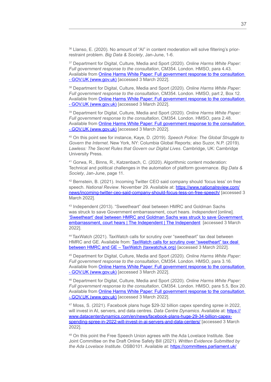36 Llanso, E. (2020). No amount of "Al" in content moderation will solve filtering's priorrestraint problem. *Big Data & Society*, Jan-June, 1-6.

37 Department for Digital, Culture, Media and Sport (2020). *Online Harms White Paper: Full government response to the consultation*, CM354. London. HMSO, para 4.43. Available from [Online Harms White Paper: Full government response to the consultation](https://www.gov.uk/government/consultations/online-harms-white-paper/outcome/online-harms-white-paper-full-government-response)  [- GOV.UK \(www.gov.uk\)](https://www.gov.uk/government/consultations/online-harms-white-paper/outcome/online-harms-white-paper-full-government-response) [accessed 3 March 2022].

38 Department for Digital, Culture, Media and Sport (2020). *Online Harms White Paper: Full government response to the consultation*, CM354. London. HMSO, part 2, Box 12. Available from [Online Harms White Paper: Full government response to the consultation](https://www.gov.uk/government/consultations/online-harms-white-paper/outcome/online-harms-white-paper-full-government-response)  [- GOV.UK \(www.gov.uk\)](https://www.gov.uk/government/consultations/online-harms-white-paper/outcome/online-harms-white-paper-full-government-response) [accessed 3 March 2022].

39 Department for Digital, Culture, Media and Sport (2020). *Online Harms White Paper: Full government response to the consultation*, CM354. London. HMSO, para 2.48. Available from [Online Harms White Paper: Full government response to the consultation](https://www.gov.uk/government/consultations/online-harms-white-paper/outcome/online-harms-white-paper-full-government-response)  [- GOV.UK \(www.gov.uk\)](https://www.gov.uk/government/consultations/online-harms-white-paper/outcome/online-harms-white-paper-full-government-response) [accessed 3 March 2022].

40 On this point see for instance, Kaye, D. (2019). *Speech Police: The Global Struggle to Govern the Internet*. New York, NY: Columbia Global Reports; also Suzor, N.P. (2019). *Lawless: The Secret Rules that Govern our Digital Lives*. Cambridge, UK: Cambridge University Press.

41 Gorwa, R., Binns, R., Katzenbach, C. (2020). Algorithmic content moderation: Technical and political challenges in the automation of platform governance. *Big Data & Society*, Jan-June, page 11.

42 Bernstein, B. (2021). Incoming Twitter CEO said company should 'focus less' on free speech. *National Review*. November 29. Available at: [https://www.nationalreview.com/](https://www.nationalreview.com/news/incoming-twitter-ceo-said-company-should-focus-less-on-free-speech/) [news/incoming-twitter-ceo-said-company-should-focus-less-on-free-speech/](https://www.nationalreview.com/news/incoming-twitter-ceo-said-company-should-focus-less-on-free-speech/) [accessed 3 March 2022].

43 Independent (2013). "Sweetheart" deal between HMRC and Goldman Sachs was struck to save Government embarrassment, court hears. *Independent* [online]. ['Sweetheart' deal between HMRC and Goldman Sachs was struck to save Government](https://www.independent.co.uk/news/uk/home-news/sweetheart-deal-between-hmrc-and-goldman-sachs-was-struck-to-save-government-embarrassment-court-hears-8601007.html)  [embarrassment, court hears | The Independent | The Independent](https://www.independent.co.uk/news/uk/home-news/sweetheart-deal-between-hmrc-and-goldman-sachs-was-struck-to-save-government-embarrassment-court-hears-8601007.html) [accessed 3 March 2022].

44 TaxWatch (2021). TaxWatch calls for scrutiny over "sweetheart" tax deal between HMRC and GE. Available from: [TaxWatch calls for scrutiny over "sweetheart" tax deal](https://www.taxwatchuk.org/ge_sweetheart_tax_deal/)  between HMRC and GE - TaxWatch (taxwatchuk.org) [accessed 3 March 2022].

45 Department for Digital, Culture, Media and Sport (2020). *Online Harms White Paper: Full government response to the consultation*, CM354. London. HMSO, para 3.16. Available from [Online Harms White Paper: Full government response to the consultation](https://www.gov.uk/government/consultations/online-harms-white-paper/outcome/online-harms-white-paper-full-government-response)  [- GOV.UK \(www.gov.uk\)](https://www.gov.uk/government/consultations/online-harms-white-paper/outcome/online-harms-white-paper-full-government-response) [accessed 3 March 2022].

46 Department for Digital, Culture, Media and Sport (2020). *Online Harms White Paper: Full government response to the consultation*, CM354. London. HMSO, para 5.5, Box 20. Available from [Online Harms White Paper: Full government response to the consultation](https://www.gov.uk/government/consultations/online-harms-white-paper/outcome/online-harms-white-paper-full-government-response)  [- GOV.UK \(www.gov.uk\)](https://www.gov.uk/government/consultations/online-harms-white-paper/outcome/online-harms-white-paper-full-government-response) [accessed 3 March 2022].

47 Moss, S. (2021). Facebook plans huge \$29-32 billion capex spending spree in 2022, will invest in AI, servers, and data centres. *Data Centre Dynamics*. Available at: [https://](https://www.datacenterdynamics.com/en/news/facebook-plans-huge-29-34-billion-capex-spending-spree-in-2022-will-invest-in-ai-servers-and-data-centers/) [www.datacenterdynamics.com/en/news/facebook-plans-huge-29-34-billion-capex](https://www.datacenterdynamics.com/en/news/facebook-plans-huge-29-34-billion-capex-spending-spree-in-2022-will-invest-in-ai-servers-and-data-centers/)[spending-spree-in-2022-will-invest-in-ai-servers-and-data-centers/](https://www.datacenterdynamics.com/en/news/facebook-plans-huge-29-34-billion-capex-spending-spree-in-2022-will-invest-in-ai-servers-and-data-centers/) [accessed 3 March 2022].

48 On this point the Free Speech Union agrees with the Ada Lovelace Institute. See Joint Committee on the Draft Online Safety Bill (2021). *Written Evidence Submitted by the Ada Lovelace Institute*. OSB0101. Available at: [https://committees.parliament.uk/](https://committees.parliament.uk/writtenevidence/39256/html/)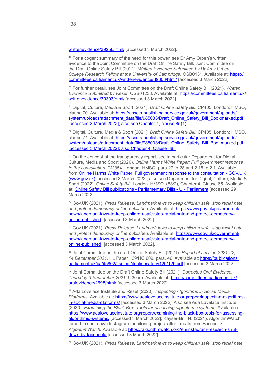[writtenevidence/39256/html/](https://committees.parliament.uk/writtenevidence/39256/html/) [accessed 3 March 2022].

<sup>49</sup> For a cogent summary of the need for this power, see Dr Amy Orben's written evidence to the Joint Committee on the Draft Online Safety Bill: Joint Committee on the Draft Online Safety Bill (2021). *Written Evidence Submitted by Dr Amy Orben, College Research Fellow at the University of Cambridge*. OSB0131. Available at: [https://](https://committees.parliament.uk/writtenevidence/39303/html/) [committees.parliament.uk/writtenevidence/39303/html/](https://committees.parliament.uk/writtenevidence/39303/html/) [accessed 3 March 2022].

50 For further detail, see Joint Committee on the Draft Online Safety Bill (2021). *Written Evidence Submitted by Reset*. OSB01238. Available at: [https://committees.parliament.uk/](https://committees.parliament.uk/writtenevidence/39303/html/) [writtenevidence/39303/html/](https://committees.parliament.uk/writtenevidence/39303/html/) [accessed 3 March 2022].

51 Digital, Culture, Media & Sport (2021). *Draft Online Safety Bill*. CP405. London: HMSO, clause 70. Available at: [https://assets.publishing.service.gov.uk/government/uploads/](https://assets.publishing.service.gov.uk/government/uploads/system/uploads/attachment_data/file/985033/Draft_Online_Safety_Bill_Bookmarked.pdf) [system/uploads/attachment\\_data/file/985033/Draft\\_Online\\_Safety\\_Bill\\_Bookmarked.pdf](https://assets.publishing.service.gov.uk/government/uploads/system/uploads/attachment_data/file/985033/Draft_Online_Safety_Bill_Bookmarked.pdf) [accessed 3 March 2022]; also see Chapter 4, clause 85(1).

52 Digital, Culture, Media & Sport (2021). *Draft Online Safety Bill*. CP405. London: HMSO, clause 74. Available at: [https://assets.publishing.service.gov.uk/government/uploads/](https://assets.publishing.service.gov.uk/government/uploads/system/uploads/attachment_data/file/985033/Draft_Online_Safety_Bill_Bookmarked.pdf) [system/uploads/attachment\\_data/file/985033/Draft\\_Online\\_Safety\\_Bill\\_Bookmarked.pdf](https://assets.publishing.service.gov.uk/government/uploads/system/uploads/attachment_data/file/985033/Draft_Online_Safety_Bill_Bookmarked.pdf) [accessed 3 March 2022]; also Chapter 4, Clause 88.

<sup>53</sup> On the concept of the transparency report, see in particular Department for Digital, Culture, Media and Sport (2020). *Online Harms White Paper: Full government response to the consultation*, CM354. London. HMSO, para 27 to 28 and 2.15 to 2.1. Available from [Online Harms White Paper: Full government response to the consultation - GOV.UK](https://www.gov.uk/government/consultations/online-harms-white-paper/outcome/online-harms-white-paper-full-government-response)  [\(www.gov.uk\)](https://www.gov.uk/government/consultations/online-harms-white-paper/outcome/online-harms-white-paper-full-government-response) [accessed 3 March 2022]; also see Department for Digital, Culture, Media & Sport (2022). *Online Safety Bill*. London. HMSO. (58/2), Chapter 4, Clause 65. Available at: [Online Safety Bill publications - Parliamentary Bills - UK Parliament](https://bills.parliament.uk/bills/3137/publications) [accessed 29 March 2022].

54 Gov.UK (2021). *Press Release: Landmark laws to keep children safe, stop racial hate and protect democracy online published*. Available at: [https://www.gov.uk/government/](https://www.gov.uk/government/news/landmark-laws-to-keep-children-safe-stop-racial-hate-and-protect-democracy-online-published) [news/landmark-laws-to-keep-children-safe-stop-racial-hate-and-protect-democracy](https://www.gov.uk/government/news/landmark-laws-to-keep-children-safe-stop-racial-hate-and-protect-democracy-online-published)[online-published](https://www.gov.uk/government/news/landmark-laws-to-keep-children-safe-stop-racial-hate-and-protect-democracy-online-published) [accessed 3 March 2022].

55 Gov.UK (2021). *Press Release: Landmark laws to keep children safe, stop racial hate and protect democracy online published*. Available at: [https://www.gov.uk/government/](https://www.gov.uk/government/news/landmark-laws-to-keep-children-safe-stop-racial-hate-and-protect-democracy-online-published) [news/landmark-laws-to-keep-children-safe-stop-racial-hate-and-protect-democracy](https://www.gov.uk/government/news/landmark-laws-to-keep-children-safe-stop-racial-hate-and-protect-democracy-online-published)[online-published](https://www.gov.uk/government/news/landmark-laws-to-keep-children-safe-stop-racial-hate-and-protect-democracy-online-published) [accessed 3 March 2022].

56 Joint Committee on the draft Online Safety Bill (2021). *Report of session 2021-22, 14 December 2021*. HL Paper 129/HC 609, para. 46. Available at: [https://publications.](https://publications.parliament.uk/pa/jt5802/jtselect/jtonlinesafety/129/129.pdf) [parliament.uk/pa/jt5802/jtselect/jtonlinesafety/129/129.pdf](https://publications.parliament.uk/pa/jt5802/jtselect/jtonlinesafety/129/129.pdf) [accessed 3 March 2022].

57 Joint Committee on the Draft Online Safety Bill (2021). *Corrected Oral Evidence, Thursday 9 September 2021*, 9:30am. Available at: [https://committees.parliament.uk/](https://committees.parliament.uk/oralevidence/2695/html/) [oralevidence/2695/html/](https://committees.parliament.uk/oralevidence/2695/html/) [accessed 3 March 2022].

58 Ada Lovelace Institute and Reset (2020). *Inspecting Algorithms in Social Media Platforms*. Available at: [https://www.adalovelaceinstitute.org/report/inspecting-algorithms](https://www.adalovelaceinstitute.org/report/inspecting-algorithms-in-social-media-platforms/)[in-social-media-platforms/](https://www.adalovelaceinstitute.org/report/inspecting-algorithms-in-social-media-platforms/) [accessed 3 March 2022]. Also see Ada Lovelace Institute (2020). *Examining the Black Box: Tools for assessing algorithmic systems*. Available at: [https://www.adalovelaceinstitute.org/report/examining-the-black-box-tools-for-assessing](https://www.adalovelaceinstitute.org/report/examining-the-black-box-tools-for-assessing-algorithmic-systems/)[algorithmic-systems/](https://www.adalovelaceinstitute.org/report/examining-the-black-box-tools-for-assessing-algorithmic-systems/) [accessed 3 March 2022]; Kayser-Bril, N. (2021). AlgorithmWatch forced to shut down Instagram monitoring project after threats from Facebook. *AlgorithmWatch.* Available at: [https://algorithmwatch.org/en/instagram-research-shut](https://algorithmwatch.org/en/instagram-research-shut-down-by-facebook/)[down-by-facebook/](https://algorithmwatch.org/en/instagram-research-shut-down-by-facebook/) [accessed 3 March 2022].

59 Gov.UK (2021). *Press Release: Landmark laws to keep children safe, stop racial hate*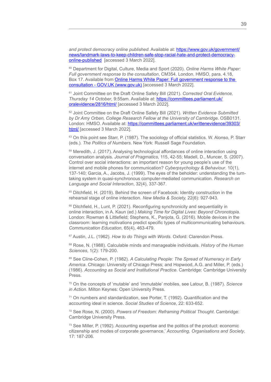*and protect democracy online published*. Available at: [https://www.gov.uk/government/](https://www.gov.uk/government/news/landmark-laws-to-keep-children-safe-stop-racial-hate-and-protect-democracy-online-published) [news/landmark-laws-to-keep-children-safe-stop-racial-hate-and-protect-democracy](https://www.gov.uk/government/news/landmark-laws-to-keep-children-safe-stop-racial-hate-and-protect-democracy-online-published)[online-published](https://www.gov.uk/government/news/landmark-laws-to-keep-children-safe-stop-racial-hate-and-protect-democracy-online-published) [accessed 3 March 2022].

60 Department for Digital, Culture, Media and Sport (2020). *Online Harms White Paper: Full government response to the consultation*, CM354. London. HMSO, para. 4.18, Box 17. Available from [Online Harms White Paper: Full government response to the](https://www.gov.uk/government/consultations/online-harms-white-paper/outcome/online-harms-white-paper-full-government-response)  [consultation - GOV.UK \(www.gov.uk\)](https://www.gov.uk/government/consultations/online-harms-white-paper/outcome/online-harms-white-paper-full-government-response) [accessed 3 March 2022].

61 Joint Committee on the Draft Online Safety Bill (2021). *Corrected Oral Evidence, Thursday 14 October*, 9:55am. Available at: [https://committees.parliament.uk/](https://committees.parliament.uk/oralevidence/2816/html/) [oralevidence/2816/html/](https://committees.parliament.uk/oralevidence/2816/html/) [accessed 3 March 2022].

62 Joint Committee on the Draft Online Safety Bill (2021). *Written Evidence Submitted by Dr Amy Orben, College Research Fellow at the University of Cambridge*. OSB0131. London: HMSO. Available at: [https://committees.parliament.uk/writtenevidence/39303/](https://committees.parliament.uk/writtenevidence/39303/html/) [html/](https://committees.parliament.uk/writtenevidence/39303/html/) [accessed 3 March 2022].

<sup>63</sup> On this point see Starr, P. (1987). The sociology of official statistics. W. Alonso, P. Starr (eds.). *The Politics of Numbers*. New York: Russell Sage Foundation.

<sup>64</sup> Meredith, J. (2017). Analysing technological affordances of online interaction using conversation analysis. *Journal of Pragmatics*, 115, 42-55; Madell, D., Muncer, S. (2007). Control over social interactions: an important reason for young people's use of the internet and mobile phones for communication? *Cyberpsychology & Behaviour*. 10(1), 137-140; Garcia, A., Jacobs, J. (1999). The eyes of the beholder: understanding the turntaking system in quasi-synchronous computer-mediated communication. *Research on Language and Social Interaction*, 32(4), 337-367.

<sup>65</sup> Ditchfield, H. (2019). Behind the screen of Facebook: Identity construction in the rehearsal stage of online interaction. *New Media & Society,* 22(6): 927-943.

<sup>66</sup> Ditchfield, H., Lunt, P. (2021). Reconfiguring synchronicity and sequentiality in online interaction, in A. Kaun (ed.) *Making Time for Digital Lives: Beyond Chronotopia*. London: Rowman & Littlefield; Stephens, K., Panjota, G. (2016). Mobile devices in the classroom: learning motivations predict specific types of multicommunicating behaviours. *Communication Education*, 65(4), 463-479.

67 Austin, J.L. (1962). *How to do Things with Words*. Oxford: Clarendon Press.

68 Rose, N. (1988). Calculable minds and manageable individuals. *History of the Human Sciences*, 1(2): 179-200.

<sup>69</sup> See Cline-Cohen, P. (1982). A Calculating People: The Spread of Numeracy in Early *America*. Chicago: University of Chicago Press; and Hopwood, A.G. and Miller, P. (eds.) (1986). *Accounting as Social and Institutional Practice*. Cambridge: Cambridge University Press.

70 On the concepts of 'mutable' and 'immutable' mobiles, see Latour, B. (1987). *Science in Action*. Milton Keynes: Open University Press.

<sup>71</sup> On numbers and standardization, see Porter, T. (1992). Quantification and the accounting ideal in science. *Social Studies of Science*, 22: 633-652.

72 See Rose, N. (2000). *Powers of Freedom: Reframing Political Thought*. Cambridge: Cambridge University Press.

73 See Miller, P. (1992). Accounting expertise and the politics of the product: economic citizenship and modes of corporate governance,' *Accounting, Organisations and Society*, 17: 187-206.